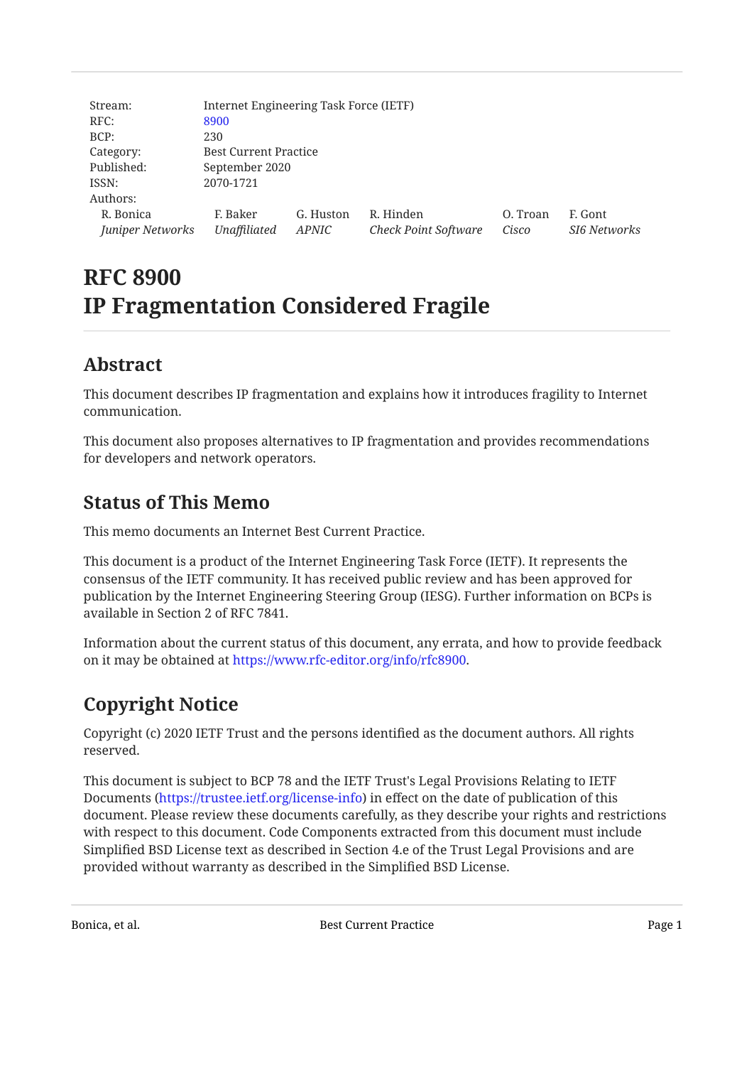| Stream:          | Internet Engineering Task Force (IETF) |           |                             |          |                     |
|------------------|----------------------------------------|-----------|-----------------------------|----------|---------------------|
| RFC:             | 8900                                   |           |                             |          |                     |
| BCP:             | 230                                    |           |                             |          |                     |
| Category:        | <b>Best Current Practice</b>           |           |                             |          |                     |
| Published:       | September 2020                         |           |                             |          |                     |
| ISSN:            | 2070-1721                              |           |                             |          |                     |
| Authors:         |                                        |           |                             |          |                     |
| R. Bonica        | F. Baker                               | G. Huston | R. Hinden                   | O. Troan | F. Gont             |
| Juniper Networks | Unaffiliated                           | APNIC     | <b>Check Point Software</b> | Cisco    | <b>SI6 Networks</b> |

# **RFC 8900 IP Fragmentation Considered Fragile**

## <span id="page-0-0"></span>**[Abstract](#page-0-0)**

This document describes IP fragmentation and explains how it introduces fragility to Internet communication.

<span id="page-0-1"></span>This document also proposes alternatives to IP fragmentation and provides recommendations for developers and network operators.

## **[Status of This Memo](#page-0-1)**

This memo documents an Internet Best Current Practice.

This document is a product of the Internet Engineering Task Force (IETF). It represents the consensus of the IETF community. It has received public review and has been approved for publication by the Internet Engineering Steering Group (IESG). Further information on BCPs is available in Section 2 of RFC 7841.

Information about the current status of this document, any errata, and how to provide feedback on it may be obtained at <https://www.rfc-editor.org/info/rfc8900>.

## <span id="page-0-2"></span>**[Copyright Notice](#page-0-2)**

Copyright (c) 2020 IETF Trust and the persons identified as the document authors. All rights reserved.

This document is subject to BCP 78 and the IETF Trust's Legal Provisions Relating to IETF Documents (<https://trustee.ietf.org/license-info>) in effect on the date of publication of this document. Please review these documents carefully, as they describe your rights and restrictions with respect to this document. Code Components extracted from this document must include Simplified BSD License text as described in Section 4.e of the Trust Legal Provisions and are provided without warranty as described in the Simplified BSD License.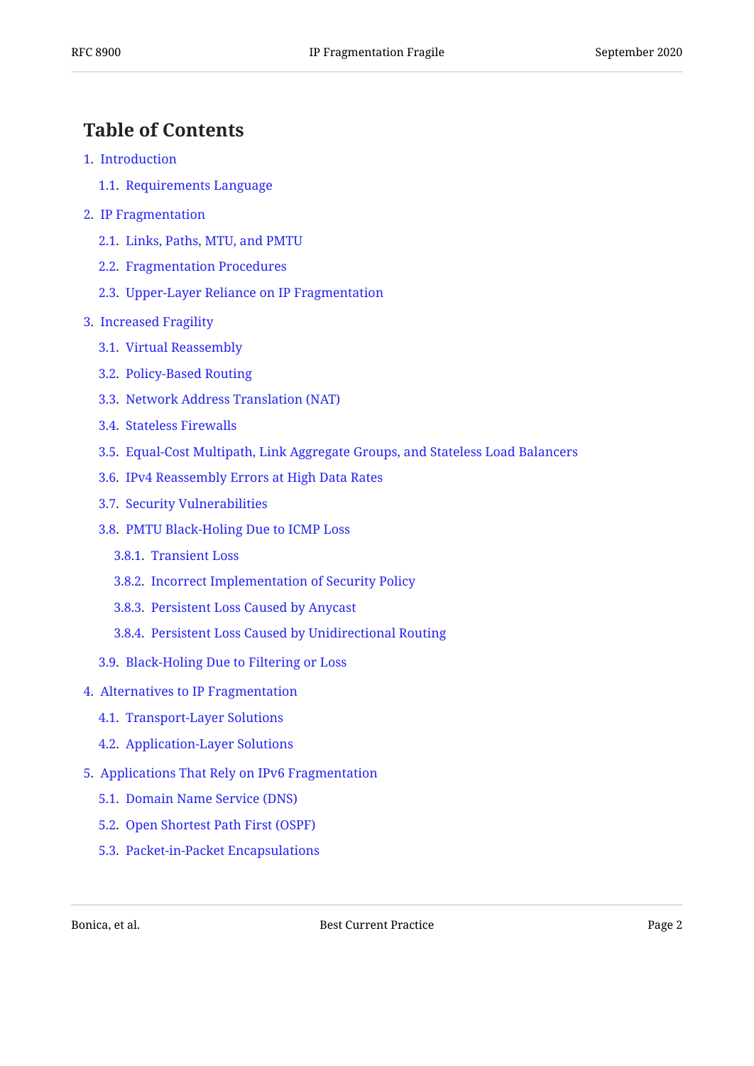## <span id="page-1-0"></span>**[Table of Contents](#page-1-0)**

- [1.](#page-2-0) [Introduction](#page-2-0)
	- [1.1.](#page-3-0) [Requirements Language](#page-3-0)
- [2.](#page-3-1) [IP Fragmentation](#page-3-1)
	- [2.1.](#page-3-2) [Links, Paths, MTU, and PMTU](#page-3-2)
	- [2.2.](#page-5-0) [Fragmentation Procedures](#page-5-0)
	- [2.3.](#page-5-1) [Upper-Layer Reliance on IP Fragmentation](#page-5-1)
- [3.](#page-6-0) [Increased Fragility](#page-6-0)
	- [3.1.](#page-6-1) [Virtual Reassembly](#page-6-1)
	- [3.2.](#page-6-2) [Policy-Based Routing](#page-6-2)
	- [3.3.](#page-7-0) [Network Address Translation \(NAT\)](#page-7-0)
	- [3.4.](#page-7-1) [Stateless Firewalls](#page-7-1)
	- [3.5.](#page-7-2) [Equal-Cost Multipath, Link Aggregate Groups, and Stateless Load Balancers](#page-7-2)
	- [3.6.](#page-8-0) [IPv4 Reassembly Errors at High Data Rates](#page-8-0)
	- [3.7.](#page-9-0) [Security Vulnerabilities](#page-9-0)
	- [3.8.](#page-10-0) [PMTU Black-Holing Due to ICMP Loss](#page-10-0)
		- [3.8.1.](#page-10-1) [Transient Loss](#page-10-1)
		- [3.8.2.](#page-10-2) [Incorrect Implementation of Security Policy](#page-10-2)
		- [3.8.3.](#page-11-0) [Persistent Loss Caused by Anycast](#page-11-0)
		- [3.8.4.](#page-11-1) [Persistent Loss Caused by Unidirectional Routing](#page-11-1)
	- [3.9.](#page-11-2) [Black-Holing Due to Filtering or Loss](#page-11-2)

#### [4.](#page-12-0) [Alternatives to IP Fragmentation](#page-12-0)

- [4.1.](#page-12-1) [Transport-Layer Solutions](#page-12-1)
- [4.2.](#page-13-0) [Application-Layer Solutions](#page-13-0)
- [5.](#page-14-0) [Applications That Rely on IPv6 Fragmentation](#page-14-0)
	- [5.1.](#page-14-1) [Domain Name Service \(DNS\)](#page-14-1)
	- [5.2.](#page-14-2) [Open Shortest Path First \(OSPF\)](#page-14-2)
	- [5.3.](#page-15-0) [Packet-in-Packet Encapsulations](#page-15-0)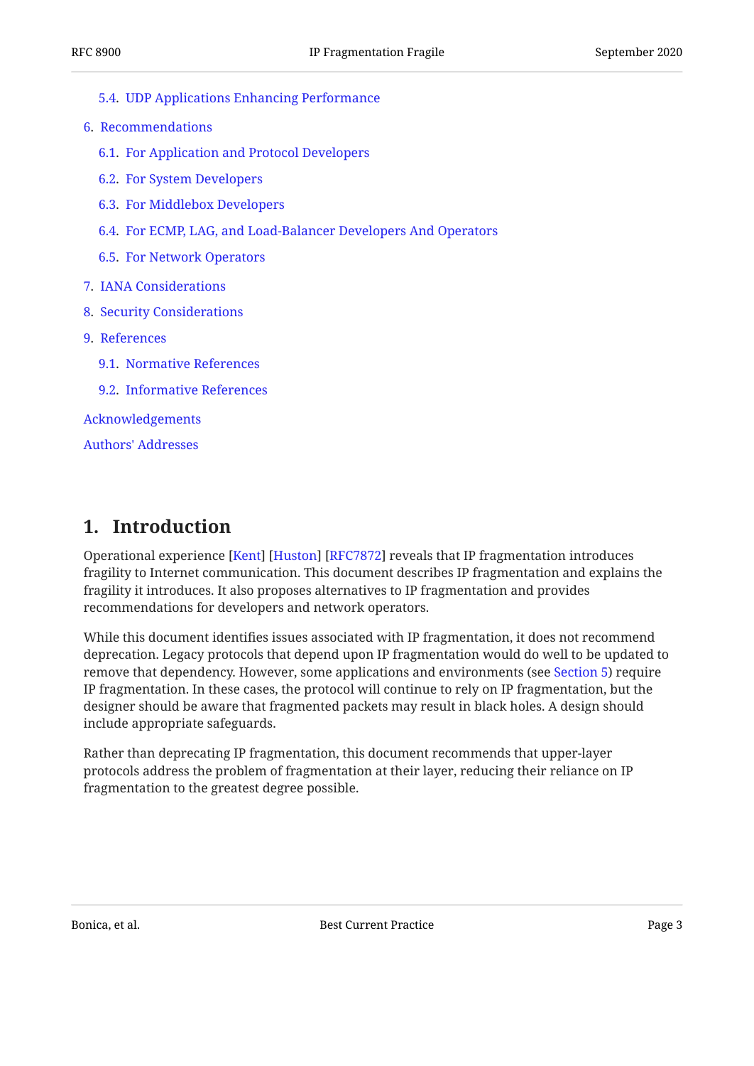- [5.4.](#page-15-1) [UDP Applications Enhancing Performance](#page-15-1)
- [6.](#page-15-2) [Recommendations](#page-15-2)
	- [6.1.](#page-15-3) [For Application and Protocol Developers](#page-15-3)
	- [6.2.](#page-16-0) [For System Developers](#page-16-0)
	- [6.3.](#page-16-1) [For Middlebox Developers](#page-16-1)
	- [6.4.](#page-16-2) [For ECMP, LAG, and Load-Balancer Developers And Operators](#page-16-2)
	- [6.5.](#page-17-0) [For Network Operators](#page-17-0)
- [7.](#page-17-1) [IANA Considerations](#page-17-1)
- [8.](#page-17-2) [Security Considerations](#page-17-2)
- [9.](#page-17-3) [References](#page-17-3)
	- [9.1.](#page-17-4) [Normative References](#page-17-4)
	- [9.2.](#page-18-0) [Informative References](#page-18-0)

[Acknowledgements](#page-21-0)

[Authors' Addresses](#page-21-1)

## <span id="page-2-0"></span>**[1. Introduction](#page-2-0)**

Operational experience [Kent] [Huston] [RFC7872] reveals that IP fragmentation introduces fragility to Internet communication. This document describes IP fragmentation and explains the fragility it introduces. It also proposes alternatives to IP fragmentation and provides recommendations for developers and network operators.

While this document identifies issues associated with IP fragmentation, it does not recommend deprecation. Legacy protocols that depend upon IP fragmentation would do well to be updated to remove that dependency. However, some applications and environments (see [Section 5](#page-14-0)) require IP fragmentation. In these cases, the protocol will continue to rely on IP fragmentation, but the designer should be aware that fragmented packets may result in black holes. A design should include appropriate safeguards.

Rather than deprecating IP fragmentation, this document recommends that upper-layer protocols address the problem of fragmentation at their layer, reducing their reliance on IP fragmentation to the greatest degree possible.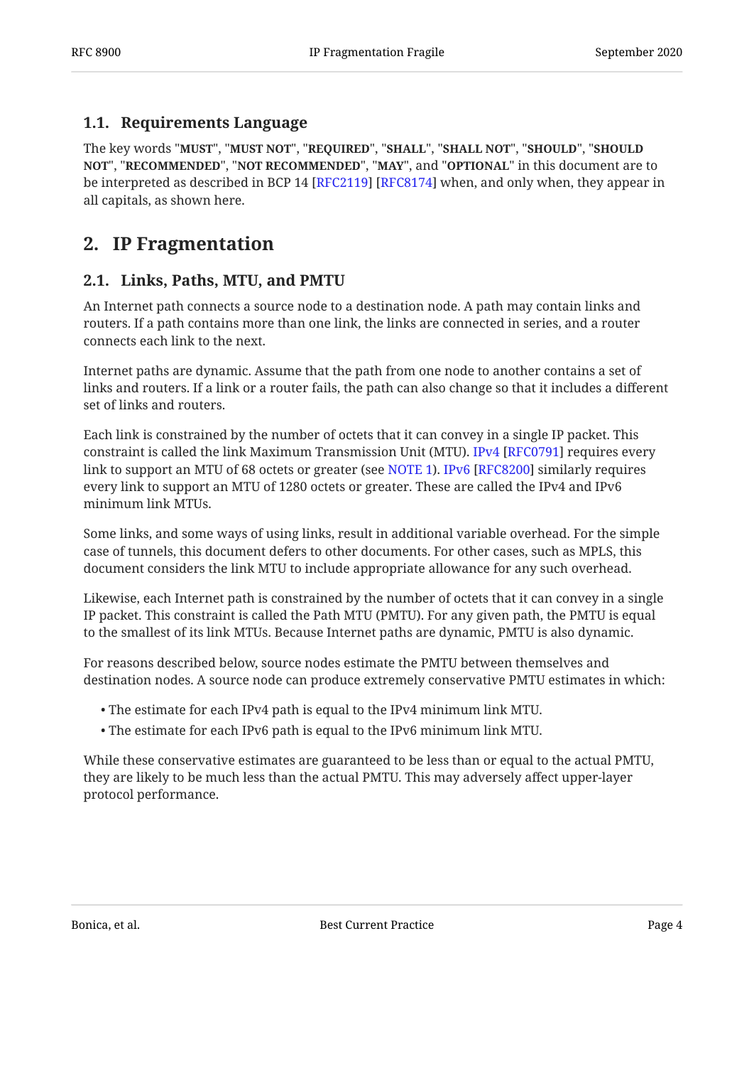## <span id="page-3-0"></span>**[1.1. Requirements Language](#page-3-0)**

The key words "MUST", "MUST NOT", "REQUIRED", "SHALL", "SHALL NOT", "SHOULD", "SHOULD <code>NOT",</code> "<code>RECOMMENDED", "NOT RECOMMENDED", "MAY", and "OPTIONAL" in this document are to</code> be interpreted as described in BCP 14 [RFC2119] [RFC8174] when, and only when, they appear in all capitals, as shown here.

## <span id="page-3-2"></span><span id="page-3-1"></span>**[2. IP Fragmentation](#page-3-1)**

## **[2.1. Links, Paths, MTU, and PMTU](#page-3-2)**

An Internet path connects a source node to a destination node. A path may contain links and routers. If a path contains more than one link, the links are connected in series, and a router connects each link to the next.

Internet paths are dynamic. Assume that the path from one node to another contains a set of links and routers. If a link or a router fails, the path can also change so that it includes a different set of links and routers.

Each link is constrained by the number of octets that it can convey in a single IP packet. This constraint is called the link Maximum Transmission Unit (MTU). IPv4 [RFC0791] requires every link to support an MTU of 68 octets or greater (see [NOTE 1](#page-4-0)).IPv6 [RFC8200] similarly requires every link to support an MTU of 1280 octets or greater. These are called the IPv4 and IPv6 minimum link MTUs.

Some links, and some ways of using links, result in additional variable overhead. For the simple case of tunnels, this document defers to other documents. For other cases, such as MPLS, this document considers the link MTU to include appropriate allowance for any such overhead.

Likewise, each Internet path is constrained by the number of octets that it can convey in a single IP packet. This constraint is called the Path MTU (PMTU). For any given path, the PMTU is equal to the smallest of its link MTUs. Because Internet paths are dynamic, PMTU is also dynamic.

For reasons described below, source nodes estimate the PMTU between themselves and destination nodes. A source node can produce extremely conservative PMTU estimates in which:

- The estimate for each IPv4 path is equal to the IPv4 minimum link MTU. •
- The estimate for each IPv6 path is equal to the IPv6 minimum link MTU. •

While these conservative estimates are guaranteed to be less than or equal to the actual PMTU, they are likely to be much less than the actual PMTU. This may adversely affect upper-layer protocol performance.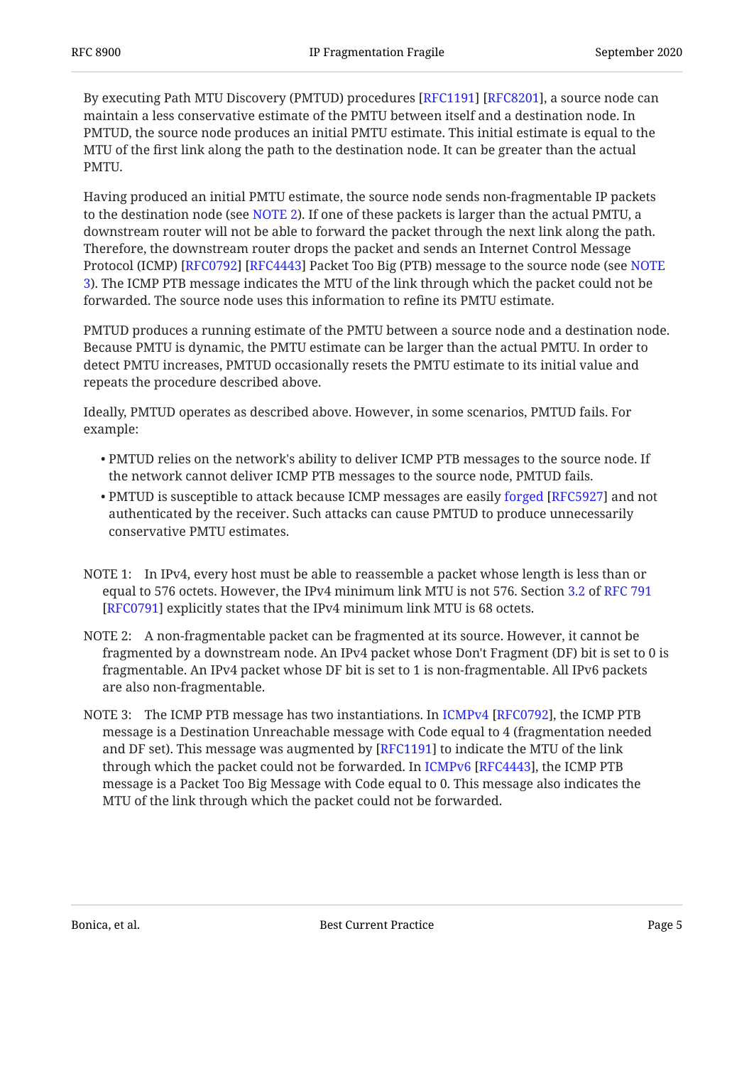By executing Path MTU Discovery (PMTUD) procedures [RFC1191] [RFC8201], a source node can maintain a less conservative estimate of the PMTU between itself and a destination node. In PMTUD, the source node produces an initial PMTU estimate. This initial estimate is equal to the MTU of the first link along the path to the destination node. It can be greater than the actual PMTU.

Having produced an initial PMTU estimate, the source node sends non-fragmentable IP packets to the destination node (see [NOTE 2\)](#page-4-1). If one of these packets is larger than the actual PMTU, a downstream router will not be able to forward the packet through the next link along the path. Therefore, the downstream router drops the packet and sends an Internet Control Message Protocol (ICMP) [RFC0792] [RFC4443] Packet Too Big (PTB) message to the source node (see [NOTE](#page-4-2) [3\)](#page-4-2). The ICMP PTB message indicates the MTU of the link through which the packet could not be forwarded. The source node uses this information to refine its PMTU estimate.

PMTUD produces a running estimate of the PMTU between a source node and a destination node. Because PMTU is dynamic, the PMTU estimate can be larger than the actual PMTU. In order to detect PMTU increases, PMTUD occasionally resets the PMTU estimate to its initial value and repeats the procedure described above.

Ideally, PMTUD operates as described above. However, in some scenarios, PMTUD fails. For example:

- PMTUD relies on the network's ability to deliver ICMP PTB messages to the source node. If the network cannot deliver ICMP PTB messages to the source node, PMTUD fails.
- $\bullet$ PMTUD is susceptible to attack because ICMP messages are easily forged [RFC5927] and not authenticated by the receiver. Such attacks can cause PMTUD to produce unnecessarily conservative PMTU estimates.
- <span id="page-4-0"></span>NOTE 1: In IPv4, every host must be able to reassemble a packet whose length is less than or equal to 576 octets. However, the IPv4 minimum link MTU is not 576. Section [3.2](https://www.rfc-editor.org/rfc/rfc791#section-3.2) of [RFC 791](#page-17-5)  $[{\rm RFC0791}]$  explicitly states that the IPv4 minimum link MTU is 68 octets.
- <span id="page-4-1"></span>A non-fragmentable packet can be fragmented at its source. However, it cannot be NOTE 2: fragmented by a downstream node. An IPv4 packet whose Don't Fragment (DF) bit is set to 0 is fragmentable. An IPv4 packet whose DF bit is set to 1 is non-fragmentable. All IPv6 packets are also non-fragmentable.
- <span id="page-4-2"></span>NOTE3: The ICMP PTB message has two instantiations. In ICMPv4 [RFC0792], the ICMP PTB message is a Destination Unreachable message with Code equal to 4 (fragmentation needed and DF set). This message was augmented by  $[{\rm RFC1191}]$  to indicate the MTU of the link throughwhich the packet could not be forwarded. In ICMPv6 [RFC4443], the ICMP PTB message is a Packet Too Big Message with Code equal to 0. This message also indicates the MTU of the link through which the packet could not be forwarded.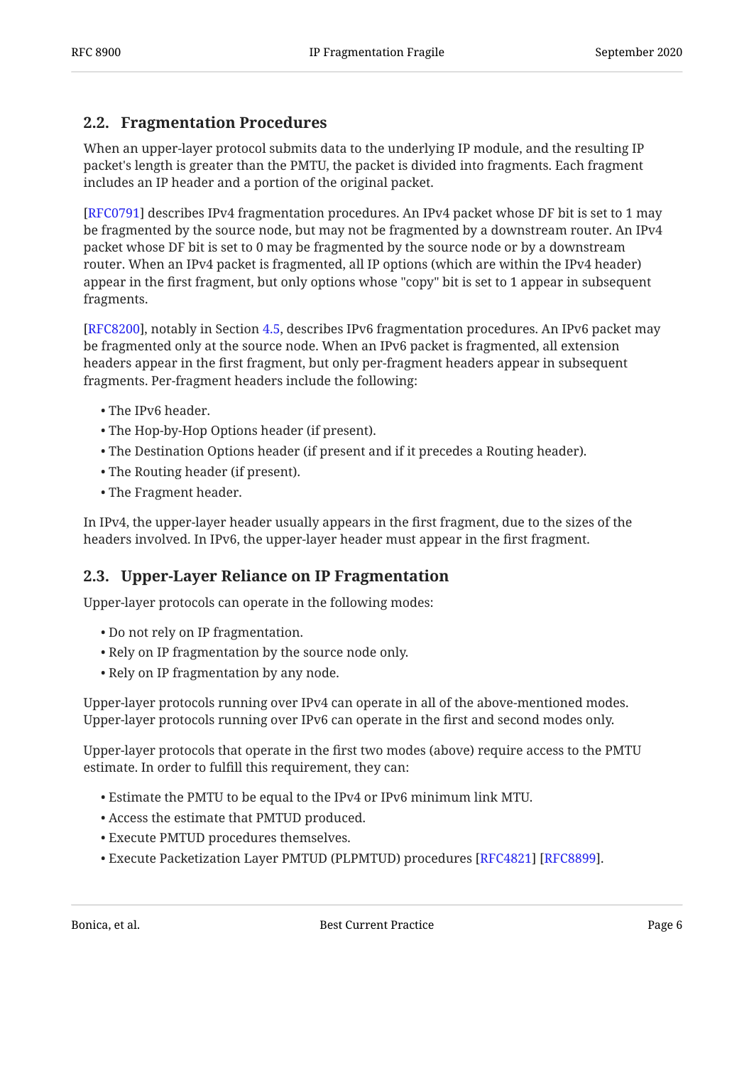## <span id="page-5-0"></span>**[2.2. Fragmentation Procedures](#page-5-0)**

When an upper-layer protocol submits data to the underlying IP module, and the resulting IP packet's length is greater than the PMTU, the packet is divided into fragments. Each fragment includes an IP header and a portion of the original packet.

[[RFC0791\]](#page-17-5) describes IPv4 fragmentation procedures. An IPv4 packet whose DF bit is set to 1 may be fragmented by the source node, but may not be fragmented by a downstream router. An IPv4 packet whose DF bit is set to 0 may be fragmented by the source node or by a downstream router. When an IPv4 packet is fragmented, all IP options (which are within the IPv4 header) appear in the first fragment, but only options whose "copy" bit is set to 1 appear in subsequent fragments.

[RFC8200], notably in Section [4.5,](https://www.rfc-editor.org/rfc/rfc8200#section-4.5) describes IPv6 fragmentation procedures. An IPv6 packet may be fragmented only at the source node. When an IPv6 packet is fragmented, all extension headers appear in the first fragment, but only per-fragment headers appear in subsequent fragments. Per-fragment headers include the following:

- The IPv6 header. •
- The Hop-by-Hop Options header (if present). •
- The Destination Options header (if present and if it precedes a Routing header). •
- The Routing header (if present). •
- The Fragment header. •

In IPv4, the upper-layer header usually appears in the first fragment, due to the sizes of the headers involved. In IPv6, the upper-layer header must appear in the first fragment.

## <span id="page-5-1"></span>**[2.3. Upper-Layer Reliance on IP Fragmentation](#page-5-1)**

Upper-layer protocols can operate in the following modes:

- Do not rely on IP fragmentation.
- Rely on IP fragmentation by the source node only.
- Rely on IP fragmentation by any node.

Upper-layer protocols running over IPv4 can operate in all of the above-mentioned modes. Upper-layer protocols running over IPv6 can operate in the first and second modes only.

Upper-layer protocols that operate in the first two modes (above) require access to the PMTU estimate. In order to fulfill this requirement, they can:

- Estimate the PMTU to be equal to the IPv4 or IPv6 minimum link MTU. •
- Access the estimate that PMTUD produced. •
- Execute PMTUD procedures themselves. •
- Execute Packetization Layer PMTUD (PLPMTUD) procedures [RFC4821] [RFC8899].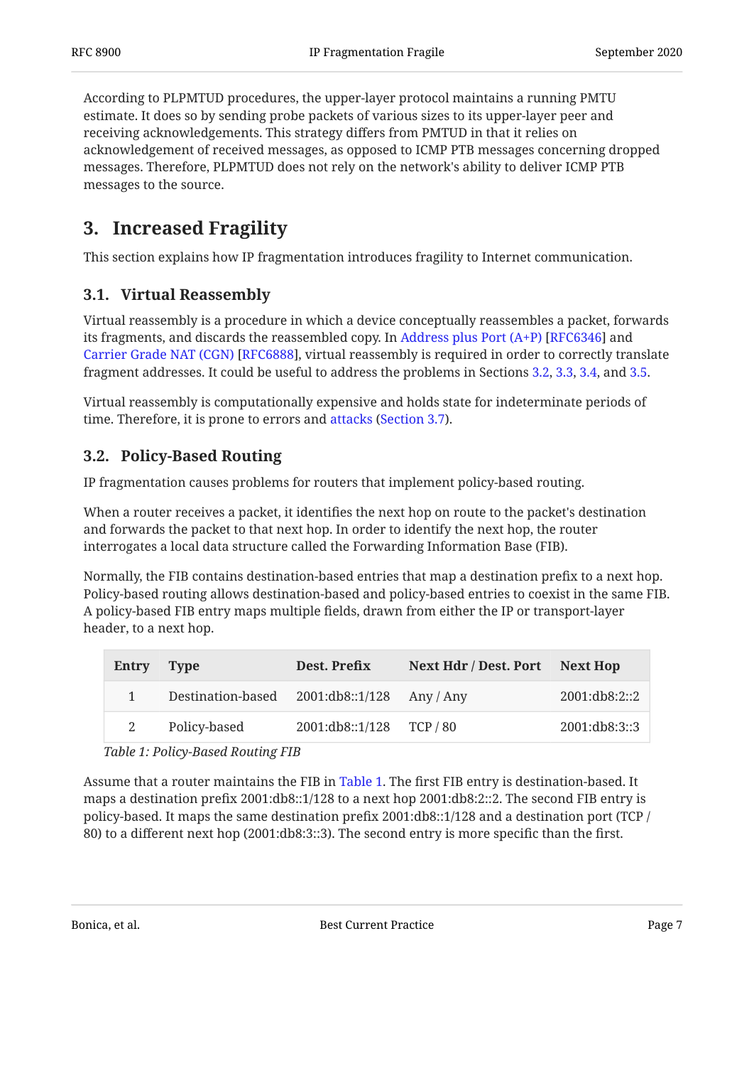According to PLPMTUD procedures, the upper-layer protocol maintains a running PMTU estimate. It does so by sending probe packets of various sizes to its upper-layer peer and receiving acknowledgements. This strategy differs from PMTUD in that it relies on acknowledgement of received messages, as opposed to ICMP PTB messages concerning dropped messages. Therefore, PLPMTUD does not rely on the network's ability to deliver ICMP PTB messages to the source.

## <span id="page-6-0"></span>**[3. Increased Fragility](#page-6-0)**

<span id="page-6-1"></span>This section explains how IP fragmentation introduces fragility to Internet communication.

## **[3.1. Virtual Reassembly](#page-6-1)**

Virtual reassembly is a procedure in which a device conceptually reassembles a packet, forwards itsfragments, and discards the reassembled copy. In Address plus Port  $(A+P)$  [RFC6346] and [Carrier Grade NAT \(CGN\) \[RFC6888](#page-20-2)], virtual reassembly is required in order to correctly translate fragment addresses. It could be useful to address the problems in Sections [3.2,](#page-6-2) [3.3,](#page-7-0) [3.4,](#page-7-1) and [3.5](#page-7-2).

Virtual reassembly is computationally expensive and holds state for indeterminate periods of time. Therefore, it is prone to errors and attacks (Section 3.7).

## <span id="page-6-2"></span>**[3.2. Policy-Based Routing](#page-6-2)**

IP fragmentation causes problems for routers that implement policy-based routing.

When a router receives a packet, it identifies the next hop on route to the packet's destination and forwards the packet to that next hop. In order to identify the next hop, the router interrogates a local data structure called the Forwarding Information Base (FIB).

Normally, the FIB contains destination-based entries that map a destination prefix to a next hop. Policy-based routing allows destination-based and policy-based entries to coexist in the same FIB. A policy-based FIB entry maps multiple fields, drawn from either the IP or transport-layer header, to a next hop.

<span id="page-6-4"></span><span id="page-6-3"></span>

| <b>Entry</b> | Type                                        | Dest. Prefix             | Next Hdr / Dest. Port Next Hop |               |
|--------------|---------------------------------------------|--------------------------|--------------------------------|---------------|
|              | Destination-based 2001:db8::1/128 Any / Any |                          |                                | 2001:db8:2::2 |
|              | Policy-based                                | 2001:db8::1/128 TCP / 80 |                                | 2001:db8:3::3 |

*[Table 1](#page-6-3): [Policy-Based Routing FIB](#page-6-4)* 

Assume that a router maintains the FIB in [Table 1](#page-6-4). The first FIB entry is destination-based. It maps a destination prefix 2001:db8::1/128 to a next hop 2001:db8:2::2. The second FIB entry is policy-based. It maps the same destination prefix 2001:db8::1/128 and a destination port (TCP / 80) to a different next hop (2001:db8:3::3). The second entry is more specific than the first.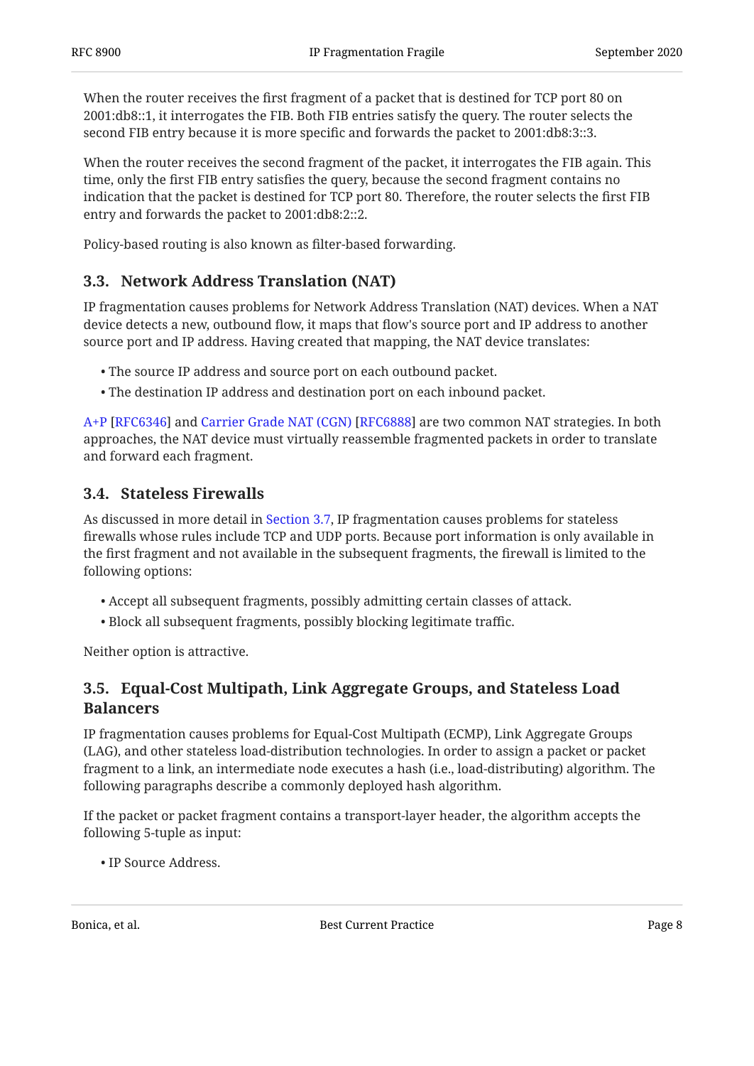When the router receives the first fragment of a packet that is destined for TCP port 80 on 2001:db8::1, it interrogates the FIB. Both FIB entries satisfy the query. The router selects the second FIB entry because it is more specific and forwards the packet to 2001:db8:3::3.

When the router receives the second fragment of the packet, it interrogates the FIB again. This time, only the first FIB entry satisfies the query, because the second fragment contains no indication that the packet is destined for TCP port 80. Therefore, the router selects the first FIB entry and forwards the packet to 2001:db8:2::2.

<span id="page-7-0"></span>Policy-based routing is also known as filter-based forwarding.

## **[3.3. Network Address Translation \(NAT\)](#page-7-0)**

IP fragmentation causes problems for Network Address Translation (NAT) devices. When a NAT device detects a new, outbound flow, it maps that flow's source port and IP address to another source port and IP address. Having created that mapping, the NAT device translates:

- The source IP address and source port on each outbound packet. •
- The destination IP address and destination port on each inbound packet. •

[A+P](#page-20-1) [[RFC6346\]](#page-20-1) and Carrier Grade NAT (CGN) [RFC6888] are two common NAT strategies. In both approaches, the NAT device must virtually reassemble fragmented packets in order to translate and forward each fragment.

#### <span id="page-7-1"></span>**[3.4. Stateless Firewalls](#page-7-1)**

As discussed in more detail in [Section 3.7](#page-9-0), IP fragmentation causes problems for stateless firewalls whose rules include TCP and UDP ports. Because port information is only available in the first fragment and not available in the subsequent fragments, the firewall is limited to the following options:

- Accept all subsequent fragments, possibly admitting certain classes of attack. •
- Block all subsequent fragments, possibly blocking legitimate traffic. •

<span id="page-7-2"></span>Neither option is attractive.

## **[3.5. Equal-Cost Multipath, Link Aggregate Groups, and Stateless Load](#page-7-2) [Balancers](#page-7-2)**

IP fragmentation causes problems for Equal-Cost Multipath (ECMP), Link Aggregate Groups (LAG), and other stateless load-distribution technologies. In order to assign a packet or packet fragment to a link, an intermediate node executes a hash (i.e., load-distributing) algorithm. The following paragraphs describe a commonly deployed hash algorithm.

If the packet or packet fragment contains a transport-layer header, the algorithm accepts the following 5-tuple as input:

IP Source Address. •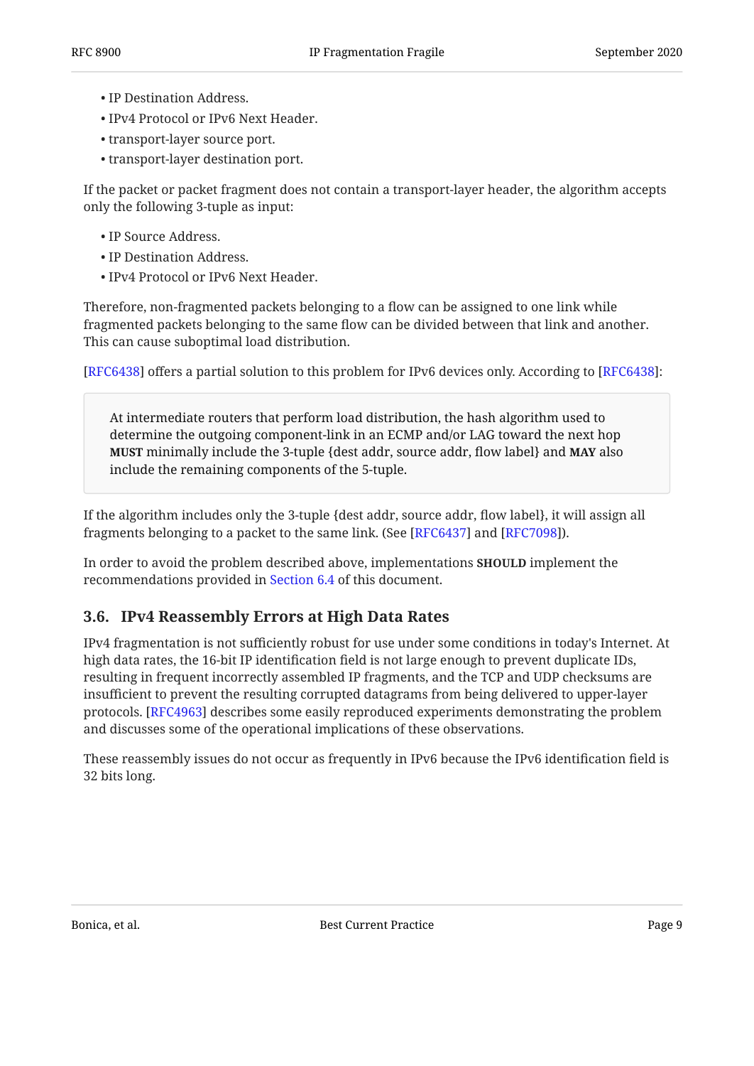- IP Destination Address. •
- IPv4 Protocol or IPv6 Next Header. •
- transport-layer source port.
- transport-layer destination port.

If the packet or packet fragment does not contain a transport-layer header, the algorithm accepts only the following 3-tuple as input:

- IP Source Address.
- IP Destination Address. •
- IPv4 Protocol or IPv6 Next Header. •

Therefore, non-fragmented packets belonging to a flow can be assigned to one link while fragmented packets belonging to the same flow can be divided between that link and another. This can cause suboptimal load distribution.

[[RFC6438\]](#page-18-9) offers a partial solution to this problem for IPv6 devices only. According to [RFC6438]:

At intermediate routers that perform load distribution, the hash algorithm used to determine the outgoing component-link in an ECMP and/or LAG toward the next hop **MUST** minimally include the 3-tuple {dest addr, source addr, flow label} and **MAY** also include the remaining components of the 5-tuple.

If the algorithm includes only the 3-tuple {dest addr, source addr, flow label}, it will assign all fragments belonging to a packet to the same link. (See [RFC6437] and [RFC7098]).

In order to avoid the problem described above, implementations **SHOULD** implement the recommendations provided in [Section 6.4](#page-16-2) of this document.

#### <span id="page-8-0"></span>**[3.6. IPv4 Reassembly Errors at High Data Rates](#page-8-0)**

IPv4 fragmentation is not sufficiently robust for use under some conditions in today's Internet. At high data rates, the 16-bit IP identification field is not large enough to prevent duplicate IDs, resulting in frequent incorrectly assembled IP fragments, and the TCP and UDP checksums are insufficient to prevent the resulting corrupted datagrams from being delivered to upper-layer protocols. [RFC4963] describes some easily reproduced experiments demonstrating the problem and discusses some of the operational implications of these observations.

These reassembly issues do not occur as frequently in IPv6 because the IPv6 identification field is 32 bits long.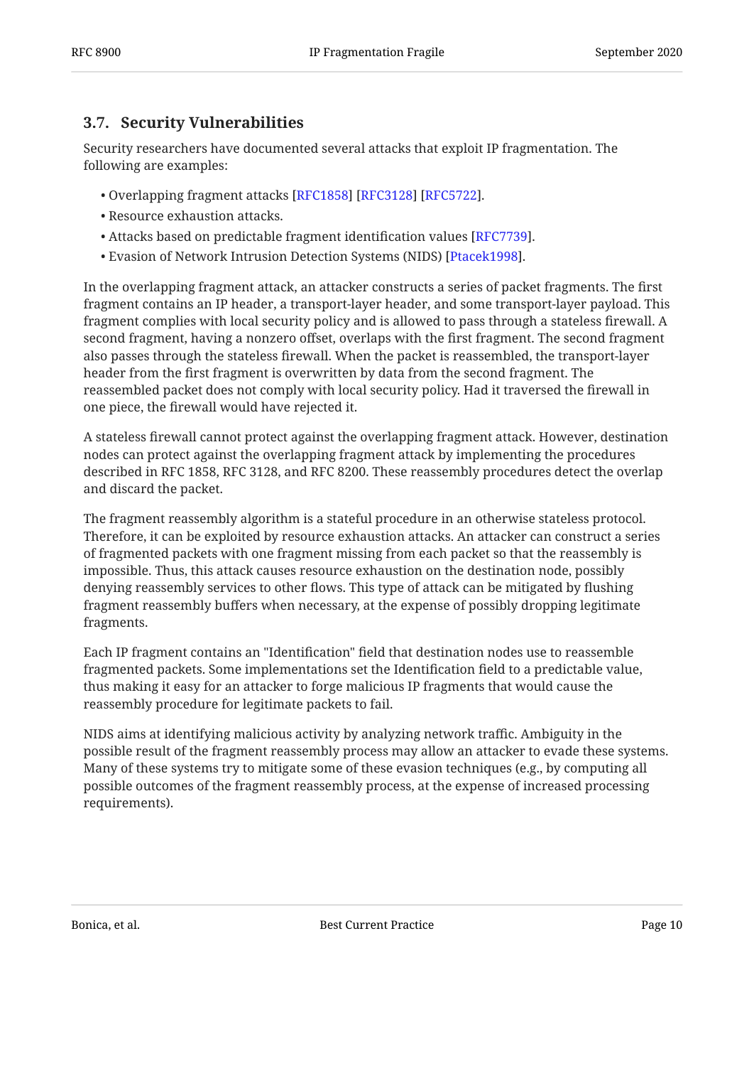## <span id="page-9-0"></span>**[3.7. Security Vulnerabilities](#page-9-0)**

Security researchers have documented several attacks that exploit IP fragmentation. The following are examples:

- Overlapping fragment attacks [\[RFC1858](#page-19-2)] [[RFC3128\]](#page-19-3) [[RFC5722\]](#page-20-5).
- Resource exhaustion attacks. •
- $\bullet$  Attacks based on predictable fragment identification values [ $\mathrm{RFC}$ 7739].
- Evasion of Network Intrusion Detection Systems (NIDS) [Ptacek1998].

In the overlapping fragment attack, an attacker constructs a series of packet fragments. The first fragment contains an IP header, a transport-layer header, and some transport-layer payload. This fragment complies with local security policy and is allowed to pass through a stateless firewall. A second fragment, having a nonzero offset, overlaps with the first fragment. The second fragment also passes through the stateless firewall. When the packet is reassembled, the transport-layer header from the first fragment is overwritten by data from the second fragment. The reassembled packet does not comply with local security policy. Had it traversed the firewall in one piece, the firewall would have rejected it.

A stateless firewall cannot protect against the overlapping fragment attack. However, destination nodes can protect against the overlapping fragment attack by implementing the procedures described in RFC 1858, RFC 3128, and RFC 8200. These reassembly procedures detect the overlap and discard the packet.

The fragment reassembly algorithm is a stateful procedure in an otherwise stateless protocol. Therefore, it can be exploited by resource exhaustion attacks. An attacker can construct a series of fragmented packets with one fragment missing from each packet so that the reassembly is impossible. Thus, this attack causes resource exhaustion on the destination node, possibly denying reassembly services to other flows. This type of attack can be mitigated by flushing fragment reassembly buffers when necessary, at the expense of possibly dropping legitimate fragments.

Each IP fragment contains an "Identification" field that destination nodes use to reassemble fragmented packets. Some implementations set the Identification field to a predictable value, thus making it easy for an attacker to forge malicious IP fragments that would cause the reassembly procedure for legitimate packets to fail.

NIDS aims at identifying malicious activity by analyzing network traffic. Ambiguity in the possible result of the fragment reassembly process may allow an attacker to evade these systems. Many of these systems try to mitigate some of these evasion techniques (e.g., by computing all possible outcomes of the fragment reassembly process, at the expense of increased processing requirements).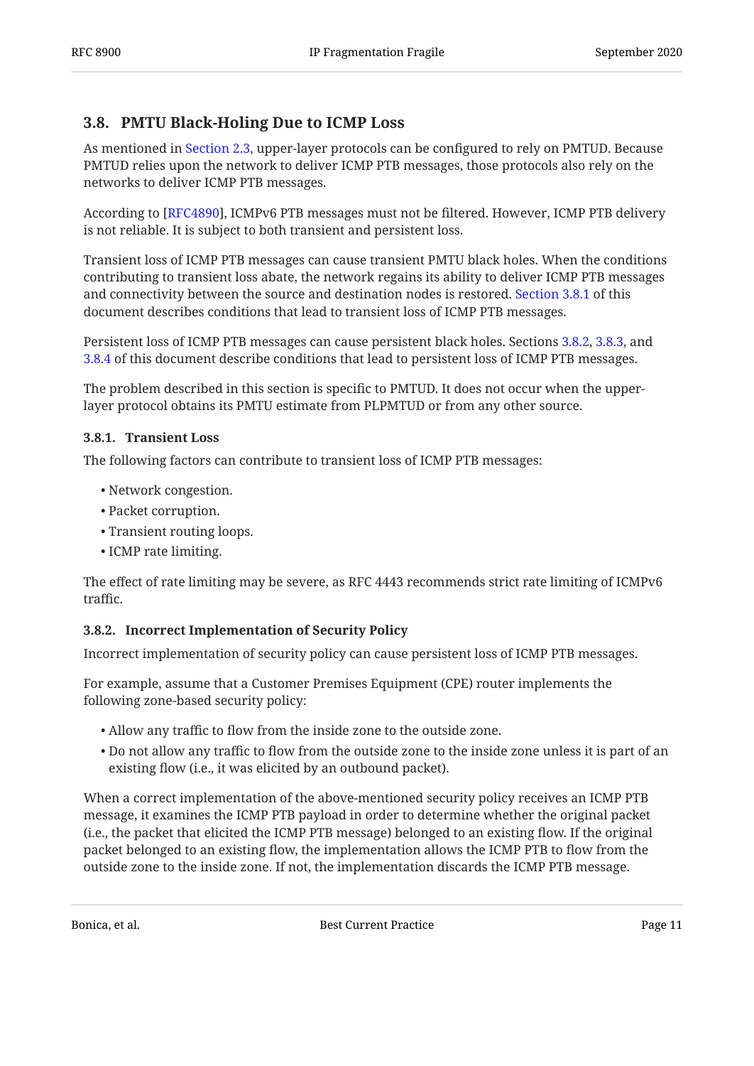## <span id="page-10-0"></span>**[3.8. PMTU Black-Holing Due to ICMP Loss](#page-10-0)**

As mentioned in [Section 2.3,](#page-5-1) upper-layer protocols can be configured to rely on PMTUD. Because PMTUD relies upon the network to deliver ICMP PTB messages, those protocols also rely on the networks to deliver ICMP PTB messages.

According to [RFC4890], ICMPv6 PTB messages must not be filtered. However, ICMP PTB delivery is not reliable. It is subject to both transient and persistent loss.

Transient loss of ICMP PTB messages can cause transient PMTU black holes. When the conditions contributing to transient loss abate, the network regains its ability to deliver ICMP PTB messages and connectivity between the source and destination nodes is restored. [Section 3.8.1](#page-10-1) of this document describes conditions that lead to transient loss of ICMP PTB messages.

Persistent loss of ICMP PTB messages can cause persistent black holes. Sections [3.8.2,](#page-10-2) [3.8.3,](#page-11-0) and [3.8.4](#page-11-1) of this document describe conditions that lead to persistent loss of ICMP PTB messages.

The problem described in this section is specific to PMTUD. It does not occur when the upperlayer protocol obtains its PMTU estimate from PLPMTUD or from any other source.

#### <span id="page-10-1"></span>**[3.8.1. Transient Loss](#page-10-1)**

The following factors can contribute to transient loss of ICMP PTB messages:

- Network congestion. •
- Packet corruption. •
- Transient routing loops.
- ICMP rate limiting.

The effect of rate limiting may be severe, as RFC 4443 recommends strict rate limiting of ICMPv6 traffic.

#### <span id="page-10-2"></span>**[3.8.2. Incorrect Implementation of Security Policy](#page-10-2)**

Incorrect implementation of security policy can cause persistent loss of ICMP PTB messages.

For example, assume that a Customer Premises Equipment (CPE) router implements the following zone-based security policy:

- Allow any traffic to flow from the inside zone to the outside zone. •
- $\bullet$  Do not allow any traffic to flow from the outside zone to the inside zone unless it is part of an existing flow (i.e., it was elicited by an outbound packet).

When a correct implementation of the above-mentioned security policy receives an ICMP PTB message, it examines the ICMP PTB payload in order to determine whether the original packet (i.e., the packet that elicited the ICMP PTB message) belonged to an existing flow. If the original packet belonged to an existing flow, the implementation allows the ICMP PTB to flow from the outside zone to the inside zone. If not, the implementation discards the ICMP PTB message.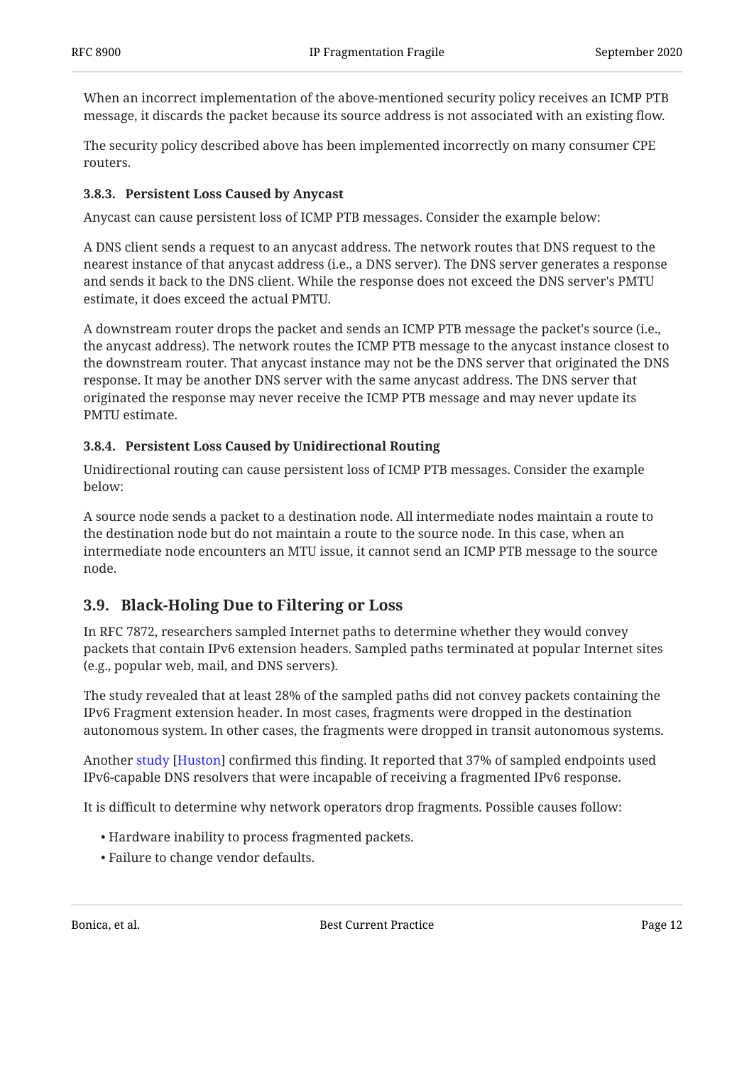When an incorrect implementation of the above-mentioned security policy receives an ICMP PTB message, it discards the packet because its source address is not associated with an existing flow.

The security policy described above has been implemented incorrectly on many consumer CPE routers.

#### <span id="page-11-0"></span>**[3.8.3. Persistent Loss Caused by Anycast](#page-11-0)**

Anycast can cause persistent loss of ICMP PTB messages. Consider the example below:

A DNS client sends a request to an anycast address. The network routes that DNS request to the nearest instance of that anycast address (i.e., a DNS server). The DNS server generates a response and sends it back to the DNS client. While the response does not exceed the DNS server's PMTU estimate, it does exceed the actual PMTU.

A downstream router drops the packet and sends an ICMP PTB message the packet's source (i.e., the anycast address). The network routes the ICMP PTB message to the anycast instance closest to the downstream router. That anycast instance may not be the DNS server that originated the DNS response. It may be another DNS server with the same anycast address. The DNS server that originated the response may never receive the ICMP PTB message and may never update its PMTU estimate.

#### <span id="page-11-1"></span>**[3.8.4. Persistent Loss Caused by Unidirectional Routing](#page-11-1)**

Unidirectional routing can cause persistent loss of ICMP PTB messages. Consider the example below:

A source node sends a packet to a destination node. All intermediate nodes maintain a route to the destination node but do not maintain a route to the source node. In this case, when an intermediate node encounters an MTU issue, it cannot send an ICMP PTB message to the source node.

## <span id="page-11-2"></span>**[3.9. Black-Holing Due to Filtering or Loss](#page-11-2)**

In RFC 7872, researchers sampled Internet paths to determine whether they would convey packets that contain IPv6 extension headers. Sampled paths terminated at popular Internet sites (e.g., popular web, mail, and DNS servers).

The study revealed that at least 28% of the sampled paths did not convey packets containing the IPv6 Fragment extension header. In most cases, fragments were dropped in the destination autonomous system. In other cases, the fragments were dropped in transit autonomous systems.

Another study [Huston] confirmed this finding. It reported that 37% of sampled endpoints used IPv6-capable DNS resolvers that were incapable of receiving a fragmented IPv6 response.

It is difficult to determine why network operators drop fragments. Possible causes follow:

- Hardware inability to process fragmented packets. •
- Failure to change vendor defaults. •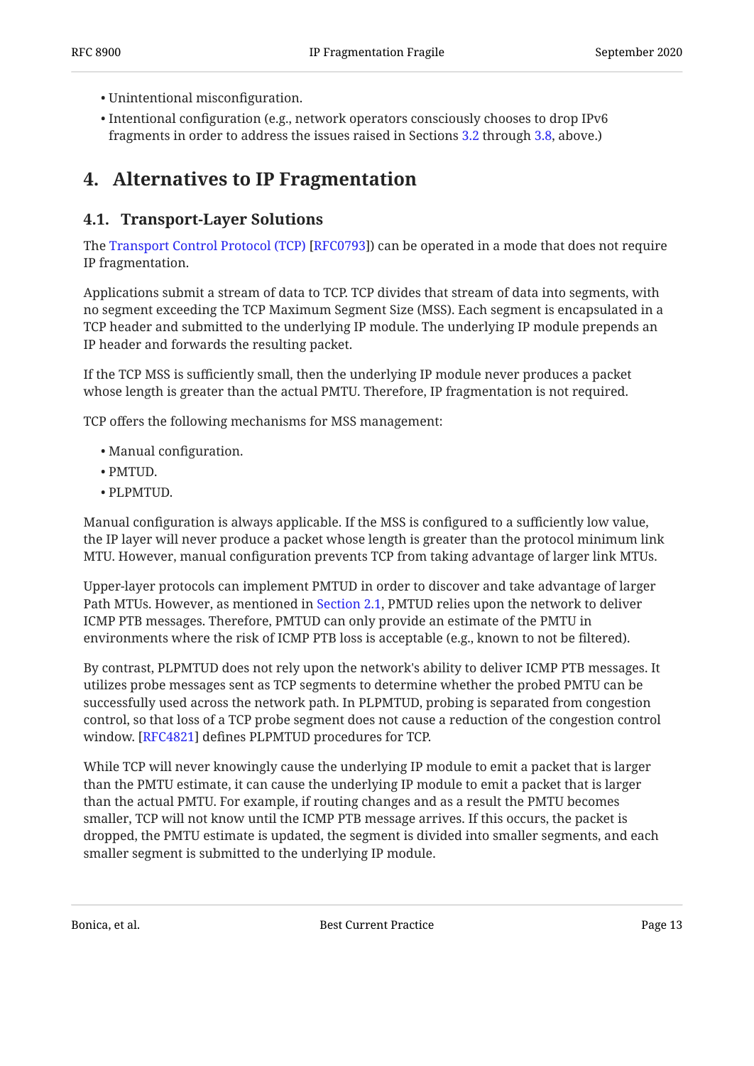- Unintentional misconfiguration. •
- $\bullet$  Intentional configuration (e.g., network operators consciously chooses to drop IPv6 fragments in order to address the issues raised in Sections [3.2](#page-6-2) through [3.8,](#page-10-0) above.)

## <span id="page-12-1"></span><span id="page-12-0"></span>**[4. Alternatives to IP Fragmentation](#page-12-0)**

## **[4.1. Transport-Layer Solutions](#page-12-1)**

TheTransport Control Protocol (TCP) [RFC0793]) can be operated in a mode that does not require IP fragmentation.

Applications submit a stream of data to TCP. TCP divides that stream of data into segments, with no segment exceeding the TCP Maximum Segment Size (MSS). Each segment is encapsulated in a TCP header and submitted to the underlying IP module. The underlying IP module prepends an IP header and forwards the resulting packet.

If the TCP MSS is sufficiently small, then the underlying IP module never produces a packet whose length is greater than the actual PMTU. Therefore, IP fragmentation is not required.

TCP offers the following mechanisms for MSS management:

- Manual configuration.
- PMTUD. •
- PLPMTUD. •

Manual configuration is always applicable. If the MSS is configured to a sufficiently low value, the IP layer will never produce a packet whose length is greater than the protocol minimum link MTU. However, manual configuration prevents TCP from taking advantage of larger link MTUs.

Upper-layer protocols can implement PMTUD in order to discover and take advantage of larger Path MTUs. However, as mentioned in [Section 2.1](#page-3-2), PMTUD relies upon the network to deliver ICMP PTB messages. Therefore, PMTUD can only provide an estimate of the PMTU in environments where the risk of ICMP PTB loss is acceptable (e.g., known to not be filtered).

By contrast, PLPMTUD does not rely upon the network's ability to deliver ICMP PTB messages. It utilizes probe messages sent as TCP segments to determine whether the probed PMTU can be successfully used across the network path. In PLPMTUD, probing is separated from congestion control, so that loss of a TCP probe segment does not cause a reduction of the congestion control window. [[RFC4821\]](#page-18-7) defines PLPMTUD procedures for TCP.

While TCP will never knowingly cause the underlying IP module to emit a packet that is larger than the PMTU estimate, it can cause the underlying IP module to emit a packet that is larger than the actual PMTU. For example, if routing changes and as a result the PMTU becomes smaller, TCP will not know until the ICMP PTB message arrives. If this occurs, the packet is dropped, the PMTU estimate is updated, the segment is divided into smaller segments, and each smaller segment is submitted to the underlying IP module.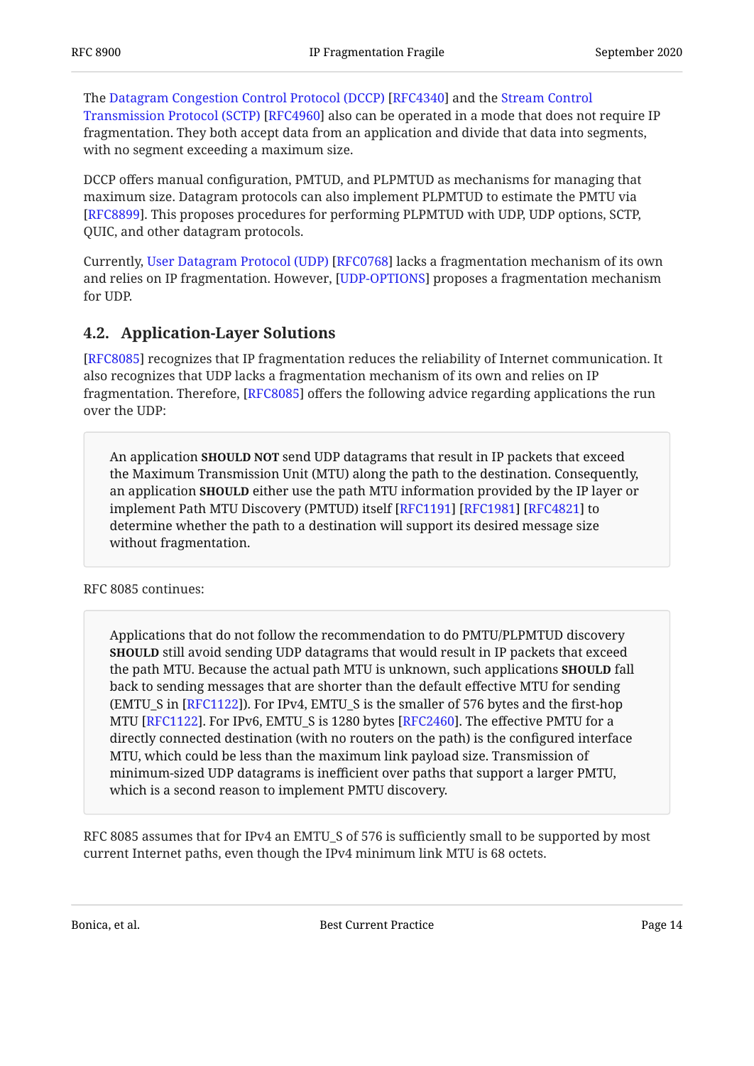TheDatagram Congestion Control Protocol (DCCP) [RFC4340] and the [Stream Control](#page-20-8) [Transmission Protocol \(SCTP\)](#page-20-8) [[RFC4960\]](#page-20-8) also can be operated in a mode that does not require IP fragmentation. They both accept data from an application and divide that data into segments, with no segment exceeding a maximum size.

DCCP offers manual configuration, PMTUD, and PLPMTUD as mechanisms for managing that maximum size. Datagram protocols can also implement PLPMTUD to estimate the PMTU via [[RFC8899\]](#page-18-8). This proposes procedures for performing PLPMTUD with UDP, UDP options, SCTP, QUIC, and other datagram protocols.

Currently,User Datagram Protocol (UDP) [RFC0768] lacks a fragmentation mechanism of its own and relies on IP fragmentation. However, [UDP-OPTIONS] proposes a fragmentation mechanism for UDP.

## <span id="page-13-0"></span>**[4.2. Application-Layer Solutions](#page-13-0)**

[[RFC8085\]](#page-18-11) recognizes that IP fragmentation reduces the reliability of Internet communication. It also recognizes that UDP lacks a fragmentation mechanism of its own and relies on IP fragmentation. Therefore, [RFC8085] offers the following advice regarding applications the run over the UDP:

An application **SHOULD NOT** send UDP datagrams that result in IP packets that exceed the Maximum Transmission Unit (MTU) along the path to the destination. Consequently, an application **SHOULD** either use the path MTU information provided by the IP layer or implement Path MTU Discovery (PMTUD) itself [RFC1191] [RFC1981] [RFC4821] to determine whether the path to a destination will support its desired message size without fragmentation.

RFC 8085 continues:

Applications that do not follow the recommendation to do PMTU/PLPMTUD discovery **SHOULD** still avoid sending UDP datagrams that would result in IP packets that exceed the path MTU. Because the actual path MTU is unknown, such applications **SHOULD** fall back to sending messages that are shorter than the default effective MTU for sending (EMTU\_S in [RFC1122]). For IPv4, EMTU\_S is the smaller of 576 bytes and the first-hop MTU [[RFC1122\]](#page-19-6). For IPv6, EMTU\_S is 1280 bytes [RFC2460]. The effective PMTU for a directly connected destination (with no routers on the path) is the configured interface MTU, which could be less than the maximum link payload size. Transmission of minimum-sized UDP datagrams is inefficient over paths that support a larger PMTU, which is a second reason to implement PMTU discovery.

RFC 8085 assumes that for IPv4 an EMTU\_S of 576 is sufficiently small to be supported by most current Internet paths, even though the IPv4 minimum link MTU is 68 octets.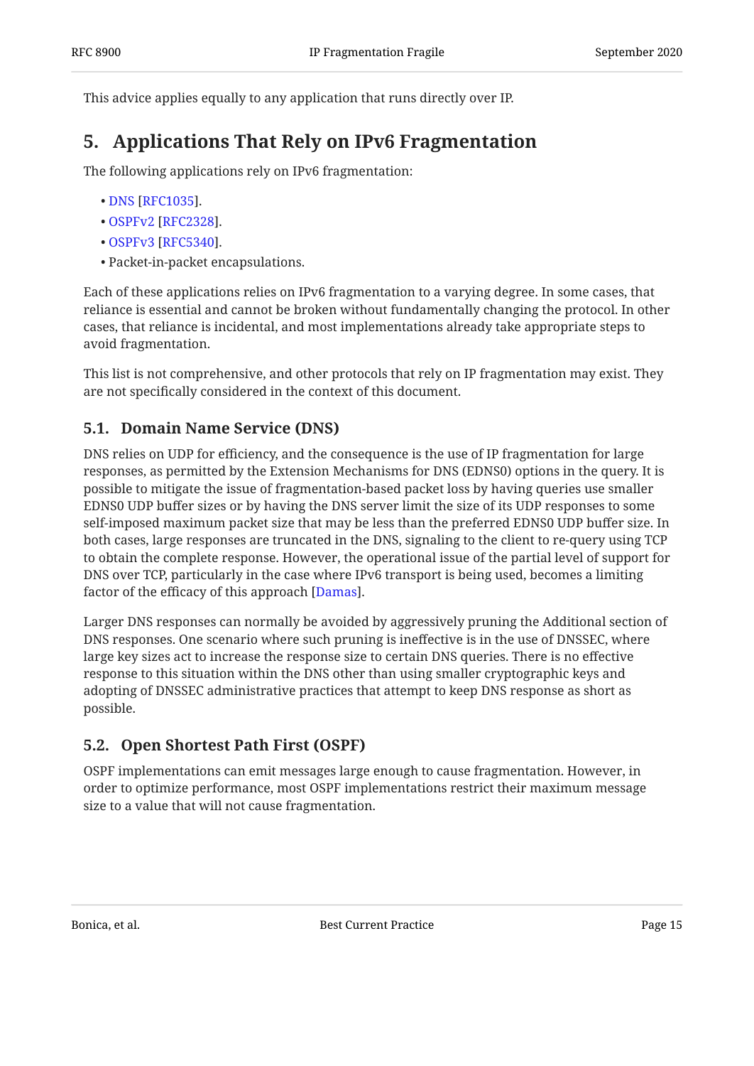<span id="page-14-0"></span>This advice applies equally to any application that runs directly over IP.

## **[5. Applications That Rely on IPv6 Fragmentation](#page-14-0)**

The following applications rely on IPv6 fragmentation:

- . [DNS](#page-18-12) [\[RFC1035](#page-18-12)]
- . [OSPFv2](#page-19-8) [\[RFC2328](#page-19-8)]
- . [OSPFv3](#page-20-9) [\[RFC5340](#page-20-9)]
- Packet-in-packet encapsulations. •

Each of these applications relies on IPv6 fragmentation to a varying degree. In some cases, that reliance is essential and cannot be broken without fundamentally changing the protocol. In other cases, that reliance is incidental, and most implementations already take appropriate steps to avoid fragmentation.

This list is not comprehensive, and other protocols that rely on IP fragmentation may exist. They are not specifically considered in the context of this document.

## <span id="page-14-1"></span>**[5.1. Domain Name Service \(DNS\)](#page-14-1)**

DNS relies on UDP for efficiency, and the consequence is the use of IP fragmentation for large responses, as permitted by the Extension Mechanisms for DNS (EDNS0) options in the query. It is possible to mitigate the issue of fragmentation-based packet loss by having queries use smaller EDNS0 UDP buffer sizes or by having the DNS server limit the size of its UDP responses to some self-imposed maximum packet size that may be less than the preferred EDNS0 UDP buffer size. In both cases, large responses are truncated in the DNS, signaling to the client to re-query using TCP to obtain the complete response. However, the operational issue of the partial level of support for DNS over TCP, particularly in the case where IPv6 transport is being used, becomes a limiting factor of the efficacy of this approach [\[Damas](#page-18-13)].

Larger DNS responses can normally be avoided by aggressively pruning the Additional section of DNS responses. One scenario where such pruning is ineffective is in the use of DNSSEC, where large key sizes act to increase the response size to certain DNS queries. There is no effective response to this situation within the DNS other than using smaller cryptographic keys and adopting of DNSSEC administrative practices that attempt to keep DNS response as short as possible.

## <span id="page-14-2"></span>**[5.2. Open Shortest Path First \(OSPF\)](#page-14-2)**

OSPF implementations can emit messages large enough to cause fragmentation. However, in order to optimize performance, most OSPF implementations restrict their maximum message size to a value that will not cause fragmentation.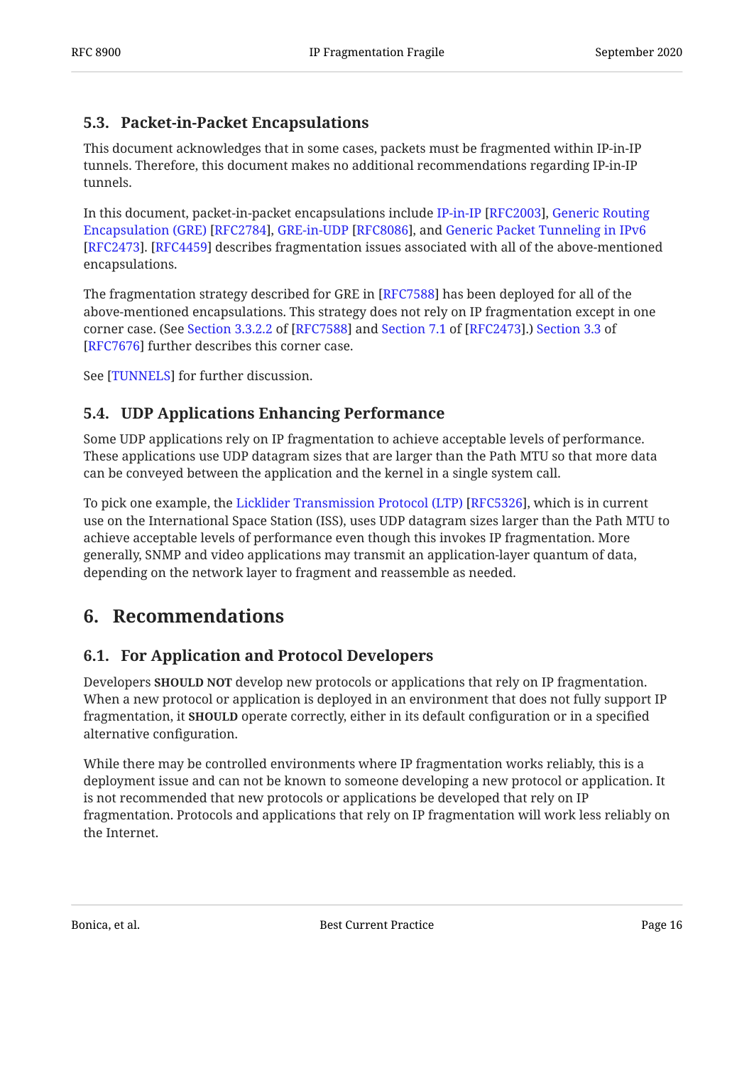## <span id="page-15-0"></span>**[5.3. Packet-in-Packet Encapsulations](#page-15-0)**

This document acknowledges that in some cases, packets must be fragmented within IP-in-IP tunnels. Therefore, this document makes no additional recommendations regarding IP-in-IP tunnels.

In this document, packet-in-packet encapsulations include IP-in-IP [RFC2003], [Generic Routing](#page-19-10) Encapsulation(GRE) [\[RFC2784](#page-19-10)], GRE-in-UDP [RFC8086], and [Generic Packet Tunneling in IPv6](#page-19-11) [[RFC2473\]](#page-19-11). [RFC4459] describes fragmentation issues associated with all of the above-mentioned encapsulations.

The fragmentation strategy described for GRE in [RFC7588] has been deployed for all of the above-mentioned encapsulations. This strategy does not rely on IP fragmentation except in one cornercase. (See Section 3.3.2.2 of [RFC7588] and Section 7.1 of [RFC2473].) [Section 3.3](https://www.rfc-editor.org/rfc/rfc7676#section-3.3) of [[RFC7676\]](#page-21-7) further describes this corner case.

<span id="page-15-1"></span>See [TUNNELS] for further discussion.

## **[5.4. UDP Applications Enhancing Performance](#page-15-1)**

Some UDP applications rely on IP fragmentation to achieve acceptable levels of performance. These applications use UDP datagram sizes that are larger than the Path MTU so that more data can be conveyed between the application and the kernel in a single system call.

To pick one example, the Licklider Transmission Protocol (LTP) [RFC5326], which is in current use on the International Space Station (ISS), uses UDP datagram sizes larger than the Path MTU to achieve acceptable levels of performance even though this invokes IP fragmentation. More generally, SNMP and video applications may transmit an application-layer quantum of data, depending on the network layer to fragment and reassemble as needed.

## <span id="page-15-3"></span><span id="page-15-2"></span>**[6. Recommendations](#page-15-2)**

## **[6.1. For Application and Protocol Developers](#page-15-3)**

Developers **SHOULD NOT** develop new protocols or applications that rely on IP fragmentation. When a new protocol or application is deployed in an environment that does not fully support IP fragmentation, it **SHOULD** operate correctly, either in its default configuration or in a specified alternative configuration.

While there may be controlled environments where IP fragmentation works reliably, this is a deployment issue and can not be known to someone developing a new protocol or application. It is not recommended that new protocols or applications be developed that rely on IP fragmentation. Protocols and applications that rely on IP fragmentation will work less reliably on the Internet.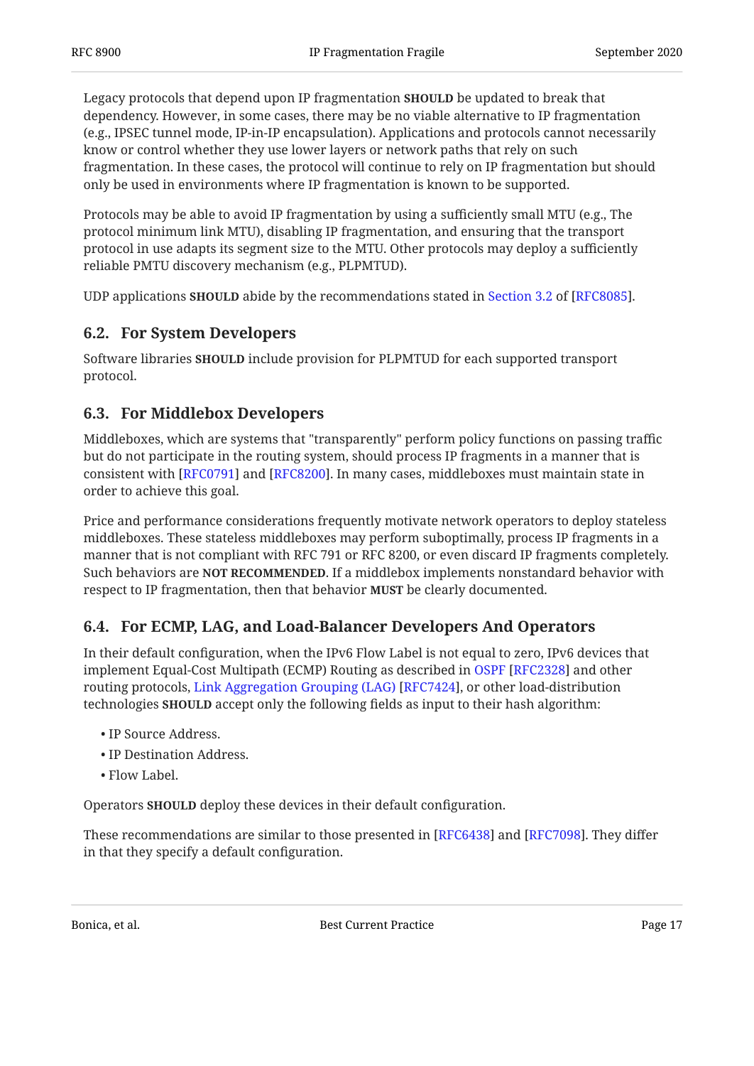Legacy protocols that depend upon IP fragmentation **SHOULD** be updated to break that dependency. However, in some cases, there may be no viable alternative to IP fragmentation (e.g., IPSEC tunnel mode, IP-in-IP encapsulation). Applications and protocols cannot necessarily know or control whether they use lower layers or network paths that rely on such fragmentation. In these cases, the protocol will continue to rely on IP fragmentation but should only be used in environments where IP fragmentation is known to be supported.

Protocols may be able to avoid IP fragmentation by using a sufficiently small MTU (e.g., The protocol minimum link MTU), disabling IP fragmentation, and ensuring that the transport protocol in use adapts its segment size to the MTU. Other protocols may deploy a sufficiently reliable PMTU discovery mechanism (e.g., PLPMTUD).

<span id="page-16-0"></span>UDPapplications **SHOULD** abide by the recommendations stated in Section 3.2 of [RFC8085].

## **[6.2. For System Developers](#page-16-0)**

Software libraries **SHOULD** include provision for PLPMTUD for each supported transport protocol.

## <span id="page-16-1"></span>**[6.3. For Middlebox Developers](#page-16-1)**

Middleboxes, which are systems that "transparently" perform policy functions on passing traffic but do not participate in the routing system, should process IP fragments in a manner that is consistent with [RFC0791] and [RFC8200]. In many cases, middleboxes must maintain state in order to achieve this goal.

Price and performance considerations frequently motivate network operators to deploy stateless middleboxes. These stateless middleboxes may perform suboptimally, process IP fragments in a manner that is not compliant with RFC 791 or RFC 8200, or even discard IP fragments completely. Such behaviors are N**OT RECOMMENDED**. If a middlebox implements nonstandard behavior with respect to IP fragmentation, then that behavior **MUST** be clearly documented.

## <span id="page-16-2"></span>**[6.4. For ECMP, LAG, and Load-Balancer Developers And Operators](#page-16-2)**

In their default configuration, when the IPv6 Flow Label is not equal to zero, IPv6 devices that implement Equal-Cost Multipath (ECMP) Routing as described in OSPF [RFC2328] and other routingprotocols, Link Aggregation Grouping (LAG) [RFC7424], or other load-distribution technologies **SHOULD** accept only the following fields as input to their hash algorithm:

- IP Source Address.
- IP Destination Address. •
- Flow Label. •

Operators **SHOULD** deploy these devices in their default configuration.

These recommendations are similar to those presented in [RFC6438] and [RFC7098]. They differ in that they specify a default configuration.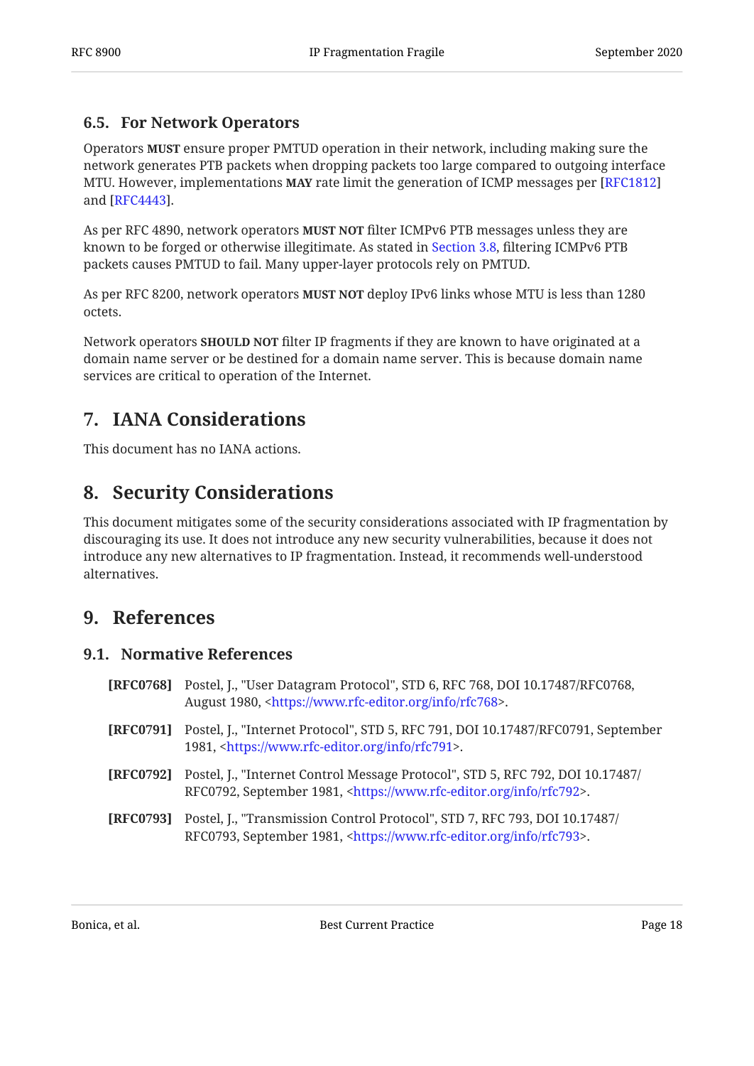## <span id="page-17-0"></span>**[6.5. For Network Operators](#page-17-0)**

Operators **MUST** ensure proper PMTUD operation in their network, including making sure the network generates PTB packets when dropping packets too large compared to outgoing interface MTU. However, implementations **MAY** rate limit the generation of ICMP messages per [[RFC1812\]](#page-19-12) and [RFC4443].

As per RFC 4890, network operators **MUST NOT** filter ICMPv6 PTB messages unless they are known to be forged or otherwise illegitimate. As stated in [Section 3.8](#page-10-0), filtering ICMPv6 PTB packets causes PMTUD to fail. Many upper-layer protocols rely on PMTUD.

As per RFC 8200, network operators **MUST NOT** deploy IPv6 links whose MTU is less than 1280 octets.

Network operators **SHOULD NOT** filter IP fragments if they are known to have originated at a domain name server or be destined for a domain name server. This is because domain name services are critical to operation of the Internet.

## <span id="page-17-1"></span>**[7. IANA Considerations](#page-17-1)**

<span id="page-17-2"></span>This document has no IANA actions.

## **[8. Security Considerations](#page-17-2)**

This document mitigates some of the security considerations associated with IP fragmentation by discouraging its use. It does not introduce any new security vulnerabilities, because it does not introduce any new alternatives to IP fragmentation. Instead, it recommends well-understood alternatives.

## <span id="page-17-4"></span><span id="page-17-3"></span>**[9. References](#page-17-3)**

#### **[9.1. Normative References](#page-17-4)**

- <span id="page-17-8"></span>**[RFC0768]** Postel, J., "User Datagram Protocol", STD 6, RFC 768, DOI 10.17487/RFC0768, August 1980, <[https://www.rfc-editor.org/info/rfc768>](https://www.rfc-editor.org/info/rfc768).
- <span id="page-17-5"></span>**[RFC0791]** Postel, J., "Internet Protocol", STD 5, RFC 791, DOI 10.17487/RFC0791, September 1981, <[https://www.rfc-editor.org/info/rfc791>](https://www.rfc-editor.org/info/rfc791).
- <span id="page-17-6"></span>**[RFC0792]** Postel, J., "Internet Control Message Protocol", STD 5, RFC 792, DOI 10.17487/ RFC0792, September 1981, <https://www.rfc-editor.org/info/rfc792>.
- <span id="page-17-7"></span>**[RFC0793]** Postel, J., "Transmission Control Protocol", STD 7, RFC 793, DOI 10.17487/ RFC0793, September 1981, <https://www.rfc-editor.org/info/rfc793>.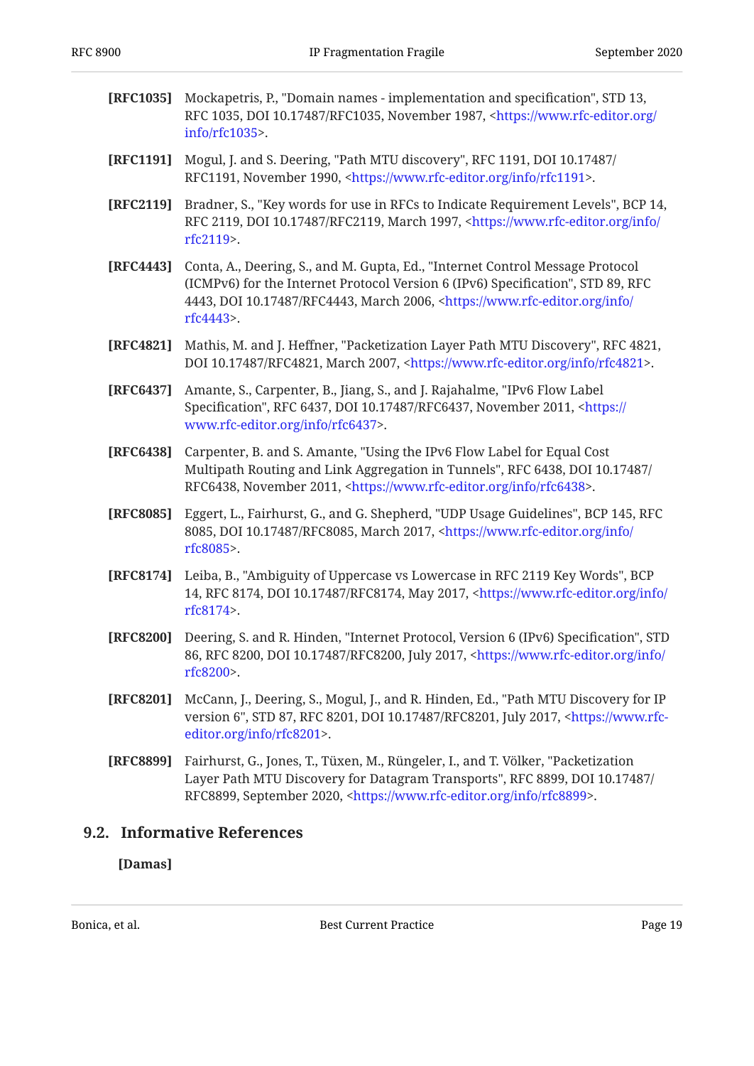<span id="page-18-12"></span><span id="page-18-10"></span><span id="page-18-9"></span><span id="page-18-7"></span><span id="page-18-6"></span><span id="page-18-4"></span><span id="page-18-1"></span>

| [RFC1035] | Mockapetris, P., "Domain names - implementation and specification", STD 13,<br>RFC 1035, DOI 10.17487/RFC1035, November 1987, <https: <br="" www.rfc-editor.org="">info/rfc1035&gt;.</https:>                                                                                  |
|-----------|--------------------------------------------------------------------------------------------------------------------------------------------------------------------------------------------------------------------------------------------------------------------------------|
| [RFC1191] | Mogul, J. and S. Deering, "Path MTU discovery", RFC 1191, DOI 10.17487/<br>RFC1191, November 1990, <https: info="" rfc1191="" www.rfc-editor.org="">.</https:>                                                                                                                 |
| [RFC2119] | Bradner, S., "Key words for use in RFCs to Indicate Requirement Levels", BCP 14,<br>RFC 2119, DOI 10.17487/RFC2119, March 1997, <https: <br="" info="" www.rfc-editor.org="">rfc2119&gt;.</https:>                                                                             |
| [RFC4443] | Conta, A., Deering, S., and M. Gupta, Ed., "Internet Control Message Protocol<br>(ICMPv6) for the Internet Protocol Version 6 (IPv6) Specification", STD 89, RFC<br>4443, DOI 10.17487/RFC4443, March 2006, <https: <br="" info="" www.rfc-editor.org="">rfc4443&gt;.</https:> |
| [RFC4821] | Mathis, M. and J. Heffner, "Packetization Layer Path MTU Discovery", RFC 4821,<br>DOI 10.17487/RFC4821, March 2007, <https: info="" rfc4821="" www.rfc-editor.org="">.</https:>                                                                                                |
| [RFC6437] | Amante, S., Carpenter, B., Jiang, S., and J. Rajahalme, "IPv6 Flow Label<br>Specification", RFC 6437, DOI 10.17487/RFC6437, November 2011, <https: <br="">www.rfc-editor.org/info/rfc6437&gt;.</https:>                                                                        |
| [RFC6438] | Carpenter, B. and S. Amante, "Using the IPv6 Flow Label for Equal Cost<br>Multipath Routing and Link Aggregation in Tunnels", RFC 6438, DOI 10.17487/<br>RFC6438, November 2011, <https: info="" rfc6438="" www.rfc-editor.org="">.</https:>                                   |
| [RFC8085] | Eggert, L., Fairhurst, G., and G. Shepherd, "UDP Usage Guidelines", BCP 145, RFC<br>8085, DOI 10.17487/RFC8085, March 2017, <https: <br="" info="" www.rfc-editor.org="">rfc8085&gt;.</https:>                                                                                 |
| [RFC8174] | Leiba, B., "Ambiguity of Uppercase vs Lowercase in RFC 2119 Key Words", BCP<br>14, RFC 8174, DOI 10.17487/RFC8174, May 2017, <https: <br="" info="" www.rfc-editor.org="">rfc8174&gt;.</https:>                                                                                |
| [RFC8200] | Deering, S. and R. Hinden, "Internet Protocol, Version 6 (IPv6) Specification", STD<br>86, RFC 8200, DOI 10.17487/RFC8200, July 2017, <https: <br="" info="" www.rfc-editor.org="">rfc8200&gt;.</https:>                                                                       |
| [RFC8201] | McCann, J., Deering, S., Mogul, J., and R. Hinden, Ed., "Path MTU Discovery for IP<br>version 6", STD 87, RFC 8201, DOI 10.17487/RFC8201, July 2017, <https: www.rfc-<br="">editor.org/info/rfc8201&gt;.</https:>                                                              |
| [RFC8899] | Fairhurst, G., Jones, T., Tüxen, M., Rüngeler, I., and T. Völker, "Packetization<br>Layer Path MTU Discovery for Datagram Transports", RFC 8899, DOI 10.17487/<br>RFC8899, September 2020, <https: info="" rfc8899="" www.rfc-editor.org="">.</https:>                         |
|           | Informative References                                                                                                                                                                                                                                                         |

## <span id="page-18-13"></span><span id="page-18-11"></span><span id="page-18-8"></span><span id="page-18-5"></span><span id="page-18-3"></span><span id="page-18-2"></span><span id="page-18-0"></span>**[9.2. Informative References](#page-18-0)**

## **[Damas]**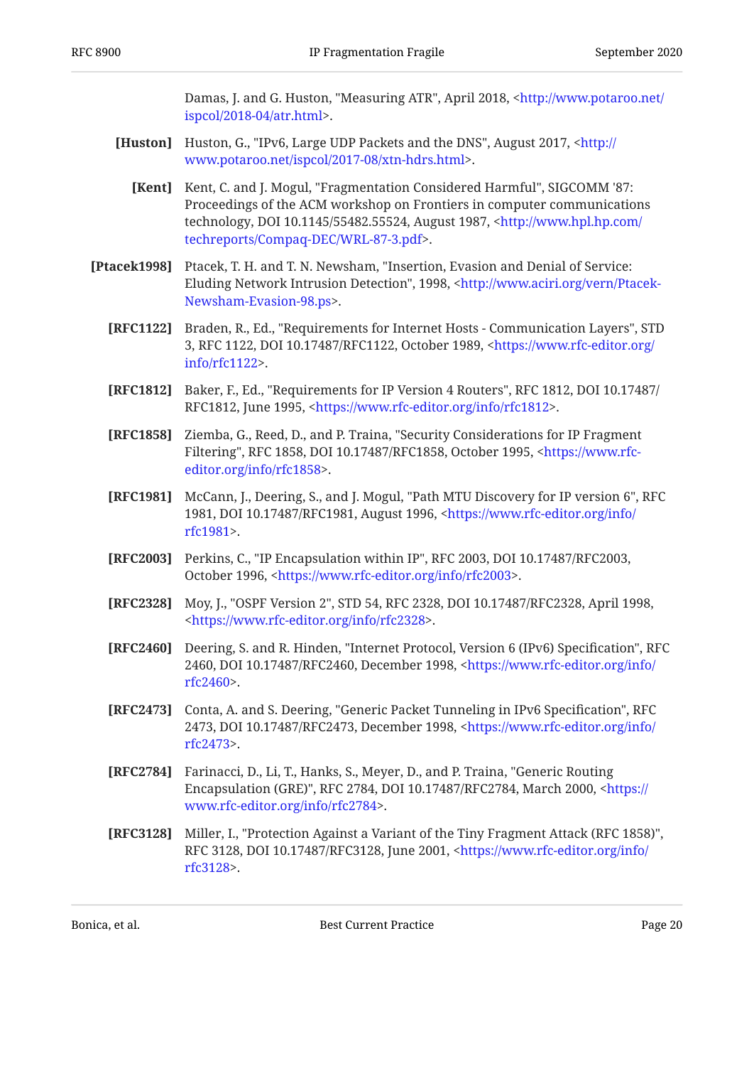Damas, J. and G. Huston, "Measuring ATR", April 2018, <[http://www.potaroo.net/](http://www.potaroo.net/ispcol/2018-04/atr.html) . [ispcol/2018-04/atr.html>](http://www.potaroo.net/ispcol/2018-04/atr.html)

- <span id="page-19-1"></span><span id="page-19-0"></span>**[Huston]** Huston, G., "IPv6, Large UDP Packets and the DNS", August 2017, <[http://](http://www.potaroo.net/ispcol/2017-08/xtn-hdrs.html) . [www.potaroo.net/ispcol/2017-08/xtn-hdrs.html](http://www.potaroo.net/ispcol/2017-08/xtn-hdrs.html)>
	- **[Kent]** Kent, C. and J. Mogul, "Fragmentation Considered Harmful", SIGCOMM '87: technology, DOI 10.1145/55482.55524, August 1987, [<http://www.hpl.hp.com/](http://www.hpl.hp.com/techreports/Compaq-DEC/WRL-87-3.pdf) . [techreports/Compaq-DEC/WRL-87-3.pdf](http://www.hpl.hp.com/techreports/Compaq-DEC/WRL-87-3.pdf)> Proceedings of the ACM workshop on Frontiers in computer communications
- <span id="page-19-12"></span><span id="page-19-9"></span><span id="page-19-6"></span><span id="page-19-5"></span><span id="page-19-4"></span><span id="page-19-2"></span>[Ptacek1998] Ptacek, T. H. and T. N. Newsham, "Insertion, Evasion and Denial of Service: Eluding Network Intrusion Detection", 1998, <[http://www.aciri.org/vern/Ptacek-](http://www.aciri.org/vern/Ptacek-Newsham-Evasion-98.ps). [Newsham-Evasion-98.ps>](http://www.aciri.org/vern/Ptacek-Newsham-Evasion-98.ps)
	- **[RFC1122]** Braden, R., Ed., "Requirements for Internet Hosts Communication Layers", STD 3, RFC 1122, DOI 10.17487/RFC1122, October 1989, [<https://www.rfc-editor.org/](https://www.rfc-editor.org/info/rfc1122) . [info/rfc1122>](https://www.rfc-editor.org/info/rfc1122)
	- **[RFC1812]** Baker, F., Ed., "Requirements for IP Version 4 Routers", RFC 1812, DOI 10.17487/ RFC1812, June 1995, <https://www.rfc-editor.org/info/rfc1812>.
	- **[RFC1858]** Ziemba, G., Reed, D., and P. Traina, "Security Considerations for IP Fragment Filtering", RFC 1858, DOI 10.17487/RFC1858, October 1995, <[https://www.rfc-](https://www.rfc-editor.org/info/rfc1858). [editor.org/info/rfc1858>](https://www.rfc-editor.org/info/rfc1858)
	- **[RFC1981]** McCann, J., Deering, S., and J. Mogul, "Path MTU Discovery for IP version 6", RFC 1981, DOI 10.17487/RFC1981, August 1996, <[https://www.rfc-editor.org/info/](https://www.rfc-editor.org/info/rfc1981) . [rfc1981>](https://www.rfc-editor.org/info/rfc1981)
	- **[RFC2003]** Perkins, C., "IP Encapsulation within IP", RFC 2003, DOI 10.17487/RFC2003, October 1996, <https://www.rfc-editor.org/info/rfc2003>.
	- **[RFC2328]** Moy, J., "OSPF Version 2", STD 54, RFC 2328, DOI 10.17487/RFC2328, April 1998, . [<https://www.rfc-editor.org/info/rfc2328](https://www.rfc-editor.org/info/rfc2328)>
	- **[RFC2460]** Deering, S. and R. Hinden, "Internet Protocol, Version 6 (IPv6) Specification", RFC 2460, DOI 10.17487/RFC2460, December 1998, [<https://www.rfc-editor.org/info/](https://www.rfc-editor.org/info/rfc2460) . [rfc2460>](https://www.rfc-editor.org/info/rfc2460)
	- **[RFC2473]** Conta, A. and S. Deering, "Generic Packet Tunneling in IPv6 Specification", RFC 2473, DOI 10.17487/RFC2473, December 1998, [<https://www.rfc-editor.org/info/](https://www.rfc-editor.org/info/rfc2473) . [rfc2473>](https://www.rfc-editor.org/info/rfc2473)
	- **[RFC2784]** Farinacci, D., Li, T., Hanks, S., Meyer, D., and P. Traina, "Generic Routing Encapsulation (GRE)", RFC 2784, DOI 10.17487/RFC2784, March 2000, [<https://](https://www.rfc-editor.org/info/rfc2784) . [www.rfc-editor.org/info/rfc2784>](https://www.rfc-editor.org/info/rfc2784)
	- **[RFC3128]** Miller, I., "Protection Against a Variant of the Tiny Fragment Attack (RFC 1858)", RFC 3128, DOI 10.17487/RFC3128, June 2001, [<https://www.rfc-editor.org/info/](https://www.rfc-editor.org/info/rfc3128) . [rfc3128>](https://www.rfc-editor.org/info/rfc3128)

<span id="page-19-11"></span><span id="page-19-10"></span><span id="page-19-8"></span><span id="page-19-7"></span><span id="page-19-3"></span>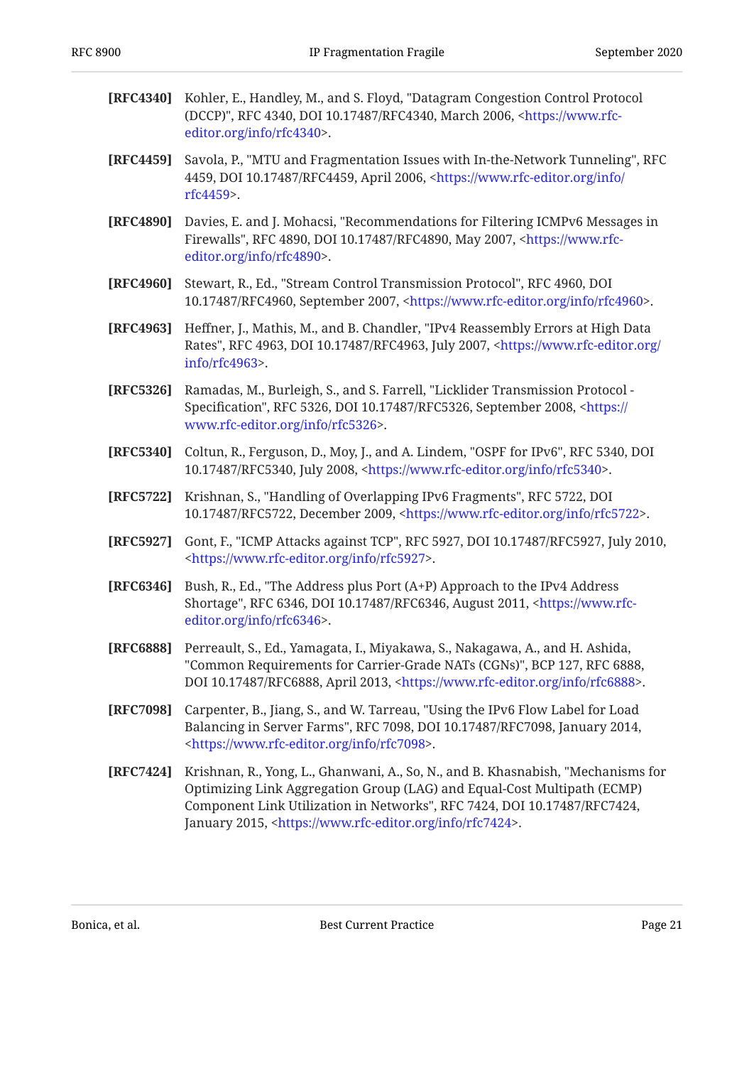<span id="page-20-11"></span><span id="page-20-10"></span><span id="page-20-9"></span><span id="page-20-8"></span><span id="page-20-7"></span><span id="page-20-6"></span><span id="page-20-5"></span><span id="page-20-4"></span>

| [RFC4340] | Kohler, E., Handley, M., and S. Floyd, "Datagram Congestion Control Protocol<br>(DCCP)", RFC 4340, DOI 10.17487/RFC4340, March 2006, <https: www.rfc-<br="">editor.org/info/rfc4340&gt;.</https:>                                                                                                                    |
|-----------|----------------------------------------------------------------------------------------------------------------------------------------------------------------------------------------------------------------------------------------------------------------------------------------------------------------------|
| [RFC4459] | Savola, P., "MTU and Fragmentation Issues with In-the-Network Tunneling", RFC<br>4459, DOI 10.17487/RFC4459, April 2006, <https: <br="" info="" www.rfc-editor.org="">rfc4459&gt;.</https:>                                                                                                                          |
| [RFC4890] | Davies, E. and J. Mohacsi, "Recommendations for Filtering ICMPv6 Messages in<br>Firewalls", RFC 4890, DOI 10.17487/RFC4890, May 2007, <https: www.rfc-<br="">editor.org/info/rfc4890&gt;.</https:>                                                                                                                   |
| [RFC4960] | Stewart, R., Ed., "Stream Control Transmission Protocol", RFC 4960, DOI<br>10.17487/RFC4960, September 2007, <https: info="" rfc4960="" www.rfc-editor.org="">.</https:>                                                                                                                                             |
| [RFC4963] | Heffner, J., Mathis, M., and B. Chandler, "IPv4 Reassembly Errors at High Data<br>Rates", RFC 4963, DOI 10.17487/RFC4963, July 2007, <https: <br="" www.rfc-editor.org="">info/rfc4963&gt;.</https:>                                                                                                                 |
| [RFC5326] | Ramadas, M., Burleigh, S., and S. Farrell, "Licklider Transmission Protocol -<br>Specification", RFC 5326, DOI 10.17487/RFC5326, September 2008, <https: <br="">www.rfc-editor.org/info/rfc5326&gt;.</https:>                                                                                                        |
| [RFC5340] | Coltun, R., Ferguson, D., Moy, J., and A. Lindem, "OSPF for IPv6", RFC 5340, DOI<br>10.17487/RFC5340, July 2008, <https: info="" rfc5340="" www.rfc-editor.org="">.</https:>                                                                                                                                         |
| [RFC5722] | Krishnan, S., "Handling of Overlapping IPv6 Fragments", RFC 5722, DOI<br>10.17487/RFC5722, December 2009, <https: info="" rfc5722="" www.rfc-editor.org="">.</https:>                                                                                                                                                |
| [RFC5927] | Gont, F., "ICMP Attacks against TCP", RFC 5927, DOI 10.17487/RFC5927, July 2010,<br><https: info="" rfc5927="" www.rfc-editor.org="">.</https:>                                                                                                                                                                      |
| [RFC6346] | Bush, R., Ed., "The Address plus Port (A+P) Approach to the IPv4 Address<br>Shortage", RFC 6346, DOI 10.17487/RFC6346, August 2011, <https: www.rfc-<br="">editor.org/info/rfc6346&gt;.</https:>                                                                                                                     |
| [RFC6888] | Perreault, S., Ed., Yamagata, I., Miyakawa, S., Nakagawa, A., and H. Ashida,<br>"Common Requirements for Carrier-Grade NATs (CGNs)", BCP 127, RFC 6888,<br>DOI 10.17487/RFC6888, April 2013, <https: info="" rfc6888="" www.rfc-editor.org="">.</https:>                                                             |
| [RFC7098] | Carpenter, B., Jiang, S., and W. Tarreau, "Using the IPv6 Flow Label for Load<br>Balancing in Server Farms", RFC 7098, DOI 10.17487/RFC7098, January 2014,<br><https: info="" rfc7098="" www.rfc-editor.org="">.</https:>                                                                                            |
| [RFC7424] | Krishnan, R., Yong, L., Ghanwani, A., So, N., and B. Khasnabish, "Mechanisms for<br>Optimizing Link Aggregation Group (LAG) and Equal-Cost Multipath (ECMP)<br>Component Link Utilization in Networks", RFC 7424, DOI 10.17487/RFC7424,<br>January 2015, <https: info="" rfc7424="" www.rfc-editor.org="">.</https:> |

<span id="page-20-12"></span><span id="page-20-3"></span><span id="page-20-2"></span><span id="page-20-1"></span><span id="page-20-0"></span>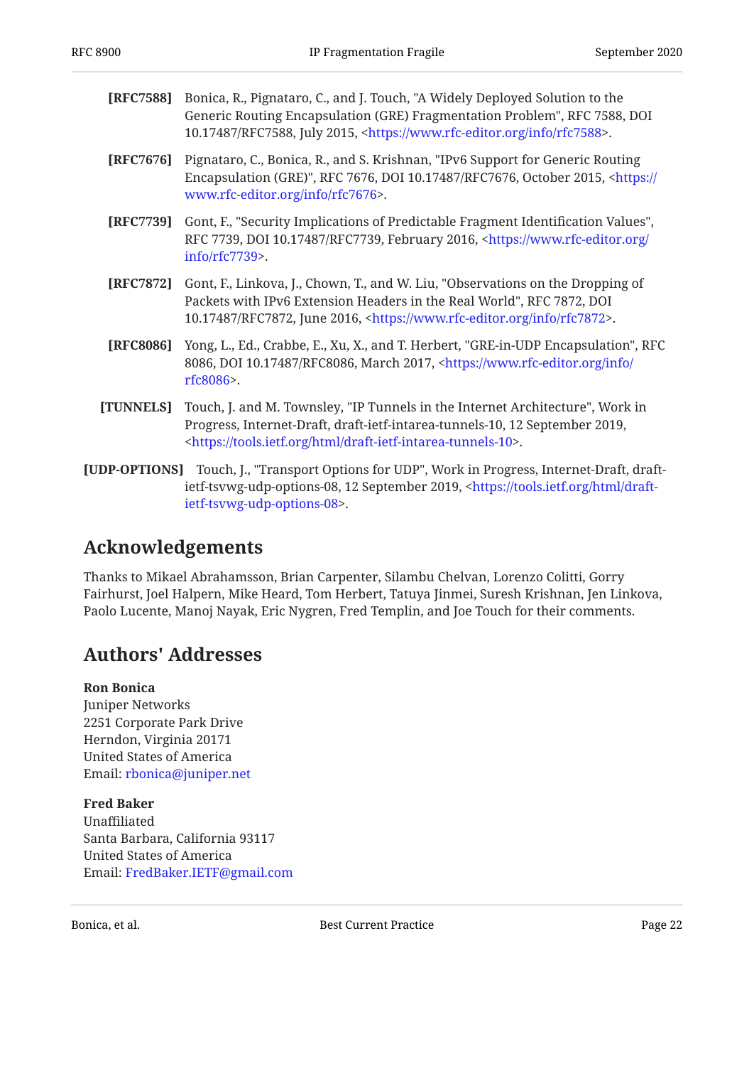<span id="page-21-6"></span>

| <b>[RFC7588]</b> Bonica, R., Pignataro, C., and J. Touch, "A Widely Deployed Solution to the |
|----------------------------------------------------------------------------------------------|
| Generic Routing Encapsulation (GRE) Fragmentation Problem", RFC 7588, DOI                    |
| 10.17487/RFC7588, July 2015, <https: info="" rfc7588="" www.rfc-editor.org="">.</https:>     |

- <span id="page-21-7"></span>**[RFC7676]** Pignataro, C., Bonica, R., and S. Krishnan, "IPv6 Support for Generic Routing Encapsulation (GRE)", RFC 7676, DOI 10.17487/RFC7676, October 2015, [<https://](https://www.rfc-editor.org/info/rfc7676) . [www.rfc-editor.org/info/rfc7676>](https://www.rfc-editor.org/info/rfc7676)
- <span id="page-21-3"></span>**[RFC7739]** Gont, F., "Security Implications of Predictable Fragment Identification Values", RFC 7739, DOI 10.17487/RFC7739, February 2016, <[https://www.rfc-editor.org/](https://www.rfc-editor.org/info/rfc7739) . [info/rfc7739>](https://www.rfc-editor.org/info/rfc7739)
- <span id="page-21-2"></span>**[RFC7872]** Gont, F., Linkova, J., Chown, T., and W. Liu, "Observations on the Dropping of Packets with IPv6 Extension Headers in the Real World", RFC 7872, DOI 10.17487/RFC7872, June 2016, <https://www.rfc-editor.org/info/rfc7872>.
- <span id="page-21-5"></span>**[RFC8086]** Yong, L., Ed., Crabbe, E., Xu, X., and T. Herbert, "GRE-in-UDP Encapsulation", RFC 8086, DOI 10.17487/RFC8086, March 2017, <[https://www.rfc-editor.org/info/](https://www.rfc-editor.org/info/rfc8086) . [rfc8086>](https://www.rfc-editor.org/info/rfc8086)
- <span id="page-21-8"></span>**[TUNNELS]** Touch, J. and M. Townsley, "IP Tunnels in the Internet Architecture", Work in Progress, Internet-Draft, draft-ietf-intarea-tunnels-10, 12 September 2019, . [<https://tools.ietf.org/html/draft-ietf-intarea-tunnels-10](https://tools.ietf.org/html/draft-ietf-intarea-tunnels-10)>
- <span id="page-21-4"></span>**[UDP-OPTIONS]** Touch, J., "Transport Options for UDP", Work in Progress, Internet-Draft, draft-ietf-tsvwg-udp-options-08, 12 September 2019, [<https://tools.ietf.org/html/draft-](https://tools.ietf.org/html/draft-ietf-tsvwg-udp-options-08). [ietf-tsvwg-udp-options-08](https://tools.ietf.org/html/draft-ietf-tsvwg-udp-options-08)>

## <span id="page-21-0"></span>**[Acknowledgements](#page-21-0)**

Thanks to Mikael Abrahamsson, Brian Carpenter, Silambu Chelvan, Lorenzo Colitti, Gorry Fairhurst, Joel Halpern, Mike Heard, Tom Herbert, Tatuya Jinmei, Suresh Krishnan, Jen Linkova, Paolo Lucente, Manoj Nayak, Eric Nygren, Fred Templin, and Joe Touch for their comments.

## <span id="page-21-1"></span>**[Authors' Addresses](#page-21-1)**

#### **Ron Bonica**

Juniper Networks 2251 Corporate Park Drive Herndon, Virginia 20171 United States of America Email: [rbonica@juniper.net](mailto:rbonica@juniper.net)

**Fred Baker** Unaffiliated Santa Barbara, California 93117 United States of America Email: [FredBaker.IETF@gmail.com](mailto:FredBaker.IETF@gmail.com)